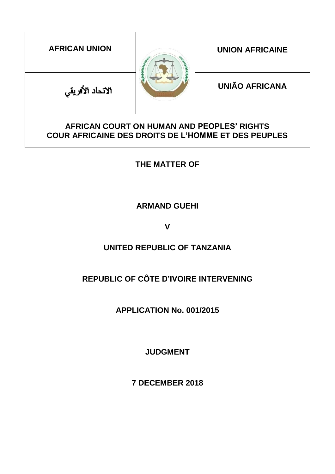| <b>AFRICAN UNION</b>                                                                                     |  | <b>UNION AFRICAINE</b> |  |  |
|----------------------------------------------------------------------------------------------------------|--|------------------------|--|--|
| الاتحاد الأفريقي                                                                                         |  | <b>UNIÃO AFRICANA</b>  |  |  |
| AFRICAN COURT ON HUMAN AND PEOPLES' RIGHTS<br><b>COUR AFRICAINE DES DROITS DE L'HOMME ET DES PEUPLES</b> |  |                        |  |  |

**THE MATTER OF**

**ARMAND GUEHI** 

**V**

# **UNITED REPUBLIC OF TANZANIA**

# **REPUBLIC OF CÔTE D'IVOIRE INTERVENING**

**APPLICATION No. 001/2015**

**JUDGMENT**

**7 DECEMBER 2018**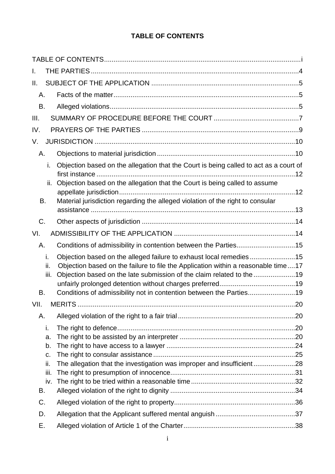## **TABLE OF CONTENTS**

<span id="page-1-0"></span>

| I.                                         |                                                                                                                                                                                                                                                                                                         |  |
|--------------------------------------------|---------------------------------------------------------------------------------------------------------------------------------------------------------------------------------------------------------------------------------------------------------------------------------------------------------|--|
| Ш.                                         |                                                                                                                                                                                                                                                                                                         |  |
| Α.                                         |                                                                                                                                                                                                                                                                                                         |  |
| В.                                         |                                                                                                                                                                                                                                                                                                         |  |
| III.                                       |                                                                                                                                                                                                                                                                                                         |  |
| IV.                                        |                                                                                                                                                                                                                                                                                                         |  |
| V.                                         |                                                                                                                                                                                                                                                                                                         |  |
| Α.                                         |                                                                                                                                                                                                                                                                                                         |  |
| i.                                         | Objection based on the allegation that the Court is being called to act as a court of                                                                                                                                                                                                                   |  |
| ii.                                        | Objection based on the allegation that the Court is being called to assume                                                                                                                                                                                                                              |  |
| В.                                         | Material jurisdiction regarding the alleged violation of the right to consular                                                                                                                                                                                                                          |  |
| C.                                         |                                                                                                                                                                                                                                                                                                         |  |
| VI.                                        |                                                                                                                                                                                                                                                                                                         |  |
| Α.                                         | Conditions of admissibility in contention between the Parties15                                                                                                                                                                                                                                         |  |
| i.<br>ii.<br>iii.<br>В.                    | Objection based on the alleged failure to exhaust local remedies15<br>Objection based on the failure to file the Application within a reasonable time17<br>Objection based on the late submission of the claim related to the 19<br>Conditions of admissibility not in contention between the Parties19 |  |
| VII.                                       | . 20                                                                                                                                                                                                                                                                                                    |  |
| Α.                                         |                                                                                                                                                                                                                                                                                                         |  |
| i.<br>a.<br>b.<br>C.<br>ii.<br>iii.<br>iv. | The allegation that the investigation was improper and insufficient28                                                                                                                                                                                                                                   |  |
| В.<br>C.                                   |                                                                                                                                                                                                                                                                                                         |  |
| D.                                         |                                                                                                                                                                                                                                                                                                         |  |
| Е.                                         |                                                                                                                                                                                                                                                                                                         |  |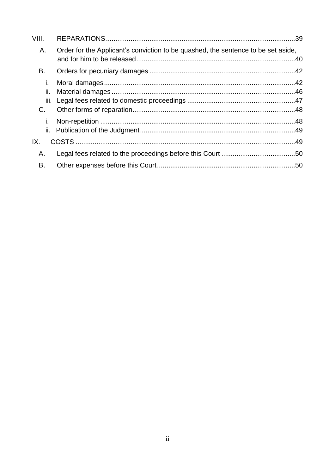| VIII.            |                                                                                   |  |
|------------------|-----------------------------------------------------------------------------------|--|
| Α.               | Order for the Applicant's conviction to be quashed, the sentence to be set aside, |  |
| В.               |                                                                                   |  |
| Ť.               |                                                                                   |  |
| н.<br>iii.<br>C. |                                                                                   |  |
| T.<br>ii.        |                                                                                   |  |
| IX.              |                                                                                   |  |
| Α.               |                                                                                   |  |
| В.               |                                                                                   |  |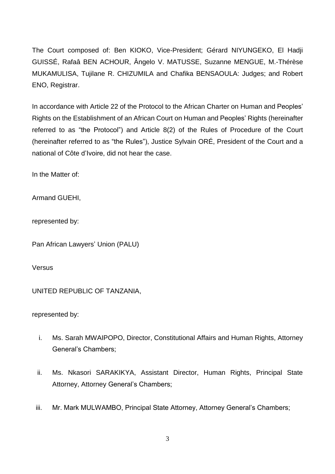The Court composed of: Ben KIOKO, Vice-President; Gérard NIYUNGEKO, El Hadji GUISSÉ, Rafaâ BEN ACHOUR, Ângelo V. MATUSSE, Suzanne MENGUE, M.-Thérèse MUKAMULISA, Tujilane R. CHIZUMILA and Chafika BENSAOULA: Judges; and Robert ENO, Registrar.

In accordance with Article 22 of the Protocol to the African Charter on Human and Peoples' Rights on the Establishment of an African Court on Human and Peoples' Rights (hereinafter referred to as "the Protocol") and Article 8(2) of the Rules of Procedure of the Court (hereinafter referred to as "the Rules"), Justice Sylvain ORÉ, President of the Court and a national of Côte d'Ivoire, did not hear the case.

In the Matter of:

Armand GUEHI,

represented by:

Pan African Lawyers' Union (PALU)

Versus

UNITED REPUBLIC OF TANZANIA,

represented by:

- i. Ms. Sarah MWAIPOPO, Director, Constitutional Affairs and Human Rights, Attorney General's Chambers;
- ii. Ms. Nkasori SARAKIKYA, Assistant Director, Human Rights, Principal State Attorney, Attorney General's Chambers;
- iii. Mr. Mark MULWAMBO, Principal State Attorney, Attorney General's Chambers;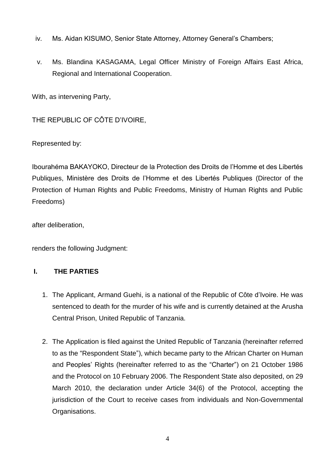- iv. Ms. Aidan KISUMO, Senior State Attorney, Attorney General's Chambers;
- v. Ms. Blandina KASAGAMA, Legal Officer Ministry of Foreign Affairs East Africa, Regional and International Cooperation.

With, as intervening Party,

THE REPUBLIC OF CÔTE D'IVOIRE,

Represented by:

Ibourahéma BAKAYOKO, Directeur de la Protection des Droits de l'Homme et des Libertés Publiques, Ministère des Droits de l'Homme et des Libertés Publiques (Director of the Protection of Human Rights and Public Freedoms, Ministry of Human Rights and Public Freedoms)

after deliberation,

renders the following Judgment:

## <span id="page-4-0"></span>**I. THE PARTIES**

- 1. The Applicant, Armand Guehi, is a national of the Republic of Côte d'Ivoire. He was sentenced to death for the murder of his wife and is currently detained at the Arusha Central Prison, United Republic of Tanzania.
- 2. The Application is filed against the United Republic of Tanzania (hereinafter referred to as the "Respondent State"), which became party to the African Charter on Human and Peoples' Rights (hereinafter referred to as the "Charter") on 21 October 1986 and the Protocol on 10 February 2006. The Respondent State also deposited, on 29 March 2010, the declaration under Article 34(6) of the Protocol, accepting the jurisdiction of the Court to receive cases from individuals and Non-Governmental Organisations.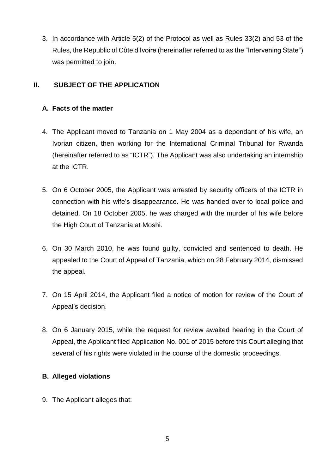3. In accordance with Article 5(2) of the Protocol as well as Rules 33(2) and 53 of the Rules, the Republic of Côte d'Ivoire (hereinafter referred to as the "Intervening State") was permitted to join.

## <span id="page-5-0"></span>**II. SUBJECT OF THE APPLICATION**

## <span id="page-5-1"></span>**A. Facts of the matter**

- 4. The Applicant moved to Tanzania on 1 May 2004 as a dependant of his wife, an Ivorian citizen, then working for the International Criminal Tribunal for Rwanda (hereinafter referred to as "ICTR"). The Applicant was also undertaking an internship at the ICTR.
- 5. On 6 October 2005, the Applicant was arrested by security officers of the ICTR in connection with his wife's disappearance. He was handed over to local police and detained. On 18 October 2005, he was charged with the murder of his wife before the High Court of Tanzania at Moshi.
- 6. On 30 March 2010, he was found guilty, convicted and sentenced to death. He appealed to the Court of Appeal of Tanzania, which on 28 February 2014, dismissed the appeal.
- 7. On 15 April 2014, the Applicant filed a notice of motion for review of the Court of Appeal's decision.
- 8. On 6 January 2015, while the request for review awaited hearing in the Court of Appeal, the Applicant filed Application No. 001 of 2015 before this Court alleging that several of his rights were violated in the course of the domestic proceedings.

## <span id="page-5-2"></span>**B. Alleged violations**

9. The Applicant alleges that: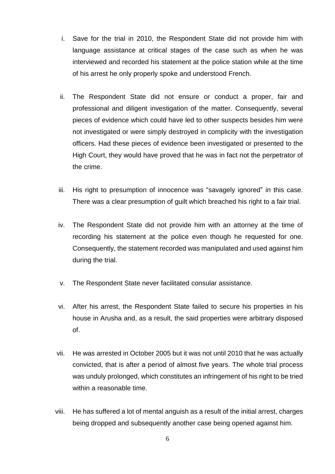- i. Save for the trial in 2010, the Respondent State did not provide him with language assistance at critical stages of the case such as when he was interviewed and recorded his statement at the police station while at the time of his arrest he only properly spoke and understood French.
- ii. The Respondent State did not ensure or conduct a proper, fair and professional and diligent investigation of the matter. Consequently, several pieces of evidence which could have led to other suspects besides him were not investigated or were simply destroyed in complicity with the investigation officers. Had these pieces of evidence been investigated or presented to the High Court, they would have proved that he was in fact not the perpetrator of the crime.
- iii. His right to presumption of innocence was "savagely ignored" in this case. There was a clear presumption of guilt which breached his right to a fair trial.
- iv. The Respondent State did not provide him with an attorney at the time of recording his statement at the police even though he requested for one. Consequently, the statement recorded was manipulated and used against him during the trial.
- v. The Respondent State never facilitated consular assistance.
- vi. After his arrest, the Respondent State failed to secure his properties in his house in Arusha and, as a result, the said properties were arbitrary disposed of.
- vii. He was arrested in October 2005 but it was not until 2010 that he was actually convicted, that is after a period of almost five years. The whole trial process was unduly prolonged, which constitutes an infringement of his right to be tried within a reasonable time.
- viii. He has suffered a lot of mental anguish as a result of the initial arrest, charges being dropped and subsequently another case being opened against him.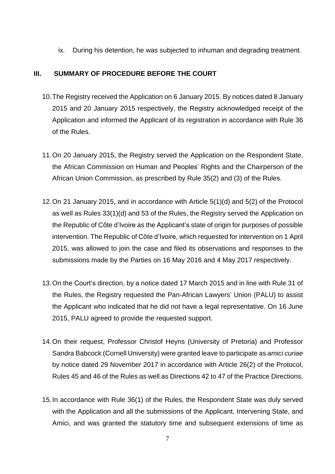ix. During his detention, he was subjected to inhuman and degrading treatment.

### <span id="page-7-0"></span>**III. SUMMARY OF PROCEDURE BEFORE THE COURT**

- 10.The Registry received the Application on 6 January 2015. By notices dated 8 January 2015 and 20 January 2015 respectively, the Registry acknowledged receipt of the Application and informed the Applicant of its registration in accordance with Rule 36 of the Rules.
- 11.On 20 January 2015, the Registry served the Application on the Respondent State, the African Commission on Human and Peoples' Rights and the Chairperson of the African Union Commission, as prescribed by Rule 35(2) and (3) of the Rules.
- 12.On 21 January 2015, and in accordance with Article 5(1)(d) and 5(2) of the Protocol as well as Rules 33(1)(d) and 53 of the Rules, the Registry served the Application on the Republic of Côte d'Ivoire as the Applicant's state of origin for purposes of possible intervention. The Republic of Côte d'Ivoire, which requested for intervention on 1 April 2015, was allowed to join the case and filed its observations and responses to the submissions made by the Parties on 16 May 2016 and 4 May 2017 respectively.
- 13.On the Court's direction, by a notice dated 17 March 2015 and in line with Rule 31 of the Rules, the Registry requested the Pan-African Lawyers' Union (PALU) to assist the Applicant who indicated that he did not have a legal representative. On 16 June 2015, PALU agreed to provide the requested support.
- 14.On their request, Professor Christof Heyns (University of Pretoria) and Professor Sandra Babcock (Cornell University) were granted leave to participate as *amici curiae* by notice dated 29 November 2017 in accordance with Article 26(2) of the Protocol, Rules 45 and 46 of the Rules as well as Directions 42 to 47 of the Practice Directions.
- 15.In accordance with Rule 36(1) of the Rules, the Respondent State was duly served with the Application and all the submissions of the Applicant, Intervening State, and Amici, and was granted the statutory time and subsequent extensions of time as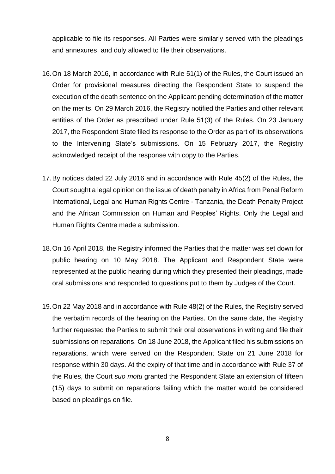applicable to file its responses. All Parties were similarly served with the pleadings and annexures, and duly allowed to file their observations.

- 16.On 18 March 2016, in accordance with Rule 51(1) of the Rules, the Court issued an Order for provisional measures directing the Respondent State to suspend the execution of the death sentence on the Applicant pending determination of the matter on the merits. On 29 March 2016, the Registry notified the Parties and other relevant entities of the Order as prescribed under Rule 51(3) of the Rules. On 23 January 2017, the Respondent State filed its response to the Order as part of its observations to the Intervening State's submissions. On 15 February 2017, the Registry acknowledged receipt of the response with copy to the Parties.
- 17.By notices dated 22 July 2016 and in accordance with Rule 45(2) of the Rules, the Court sought a legal opinion on the issue of death penalty in Africa from Penal Reform International, Legal and Human Rights Centre - Tanzania, the Death Penalty Project and the African Commission on Human and Peoples' Rights. Only the Legal and Human Rights Centre made a submission.
- 18.On 16 April 2018, the Registry informed the Parties that the matter was set down for public hearing on 10 May 2018. The Applicant and Respondent State were represented at the public hearing during which they presented their pleadings, made oral submissions and responded to questions put to them by Judges of the Court.
- 19.On 22 May 2018 and in accordance with Rule 48(2) of the Rules, the Registry served the verbatim records of the hearing on the Parties. On the same date, the Registry further requested the Parties to submit their oral observations in writing and file their submissions on reparations. On 18 June 2018, the Applicant filed his submissions on reparations, which were served on the Respondent State on 21 June 2018 for response within 30 days. At the expiry of that time and in accordance with Rule 37 of the Rules, the Court *suo motu* granted the Respondent State an extension of fifteen (15) days to submit on reparations failing which the matter would be considered based on pleadings on file.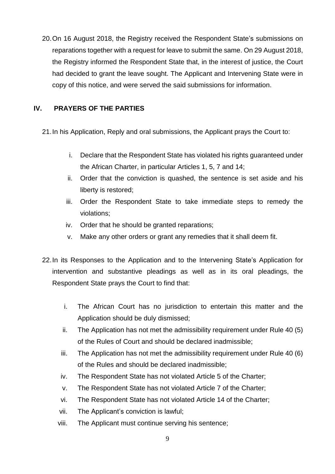20.On 16 August 2018, the Registry received the Respondent State's submissions on reparations together with a request for leave to submit the same. On 29 August 2018, the Registry informed the Respondent State that, in the interest of justice, the Court had decided to grant the leave sought. The Applicant and Intervening State were in copy of this notice, and were served the said submissions for information.

## <span id="page-9-0"></span>**IV. PRAYERS OF THE PARTIES**

21.In his Application, Reply and oral submissions, the Applicant prays the Court to:

- i. Declare that the Respondent State has violated his rights guaranteed under the African Charter, in particular Articles 1, 5, 7 and 14;
- ii. Order that the conviction is quashed, the sentence is set aside and his liberty is restored;
- iii. Order the Respondent State to take immediate steps to remedy the violations;
- iv. Order that he should be granted reparations;
- v. Make any other orders or grant any remedies that it shall deem fit.
- 22.In its Responses to the Application and to the Intervening State's Application for intervention and substantive pleadings as well as in its oral pleadings, the Respondent State prays the Court to find that:
	- i. The African Court has no jurisdiction to entertain this matter and the Application should be duly dismissed;
	- ii. The Application has not met the admissibility requirement under Rule 40 (5) of the Rules of Court and should be declared inadmissible;
	- iii. The Application has not met the admissibility requirement under Rule 40 (6) of the Rules and should be declared inadmissible;
	- iv. The Respondent State has not violated Article 5 of the Charter;
	- v. The Respondent State has not violated Article 7 of the Charter;
	- vi. The Respondent State has not violated Article 14 of the Charter;
	- vii. The Applicant's conviction is lawful;
	- viii. The Applicant must continue serving his sentence;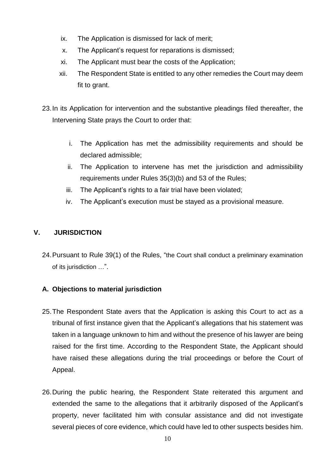- ix. The Application is dismissed for lack of merit;
- x. The Applicant's request for reparations is dismissed;
- xi. The Applicant must bear the costs of the Application;
- xii. The Respondent State is entitled to any other remedies the Court may deem fit to grant.
- 23.In its Application for intervention and the substantive pleadings filed thereafter, the Intervening State prays the Court to order that:
	- i. The Application has met the admissibility requirements and should be declared admissible;
	- ii. The Application to intervene has met the jurisdiction and admissibility requirements under Rules 35(3)(b) and 53 of the Rules;
	- iii. The Applicant's rights to a fair trial have been violated;
	- iv. The Applicant's execution must be stayed as a provisional measure.

## <span id="page-10-0"></span>**V. JURISDICTION**

24.Pursuant to Rule 39(1) of the Rules, "the Court shall conduct a preliminary examination of its jurisdiction …".

#### <span id="page-10-1"></span>**A. Objections to material jurisdiction**

- 25.The Respondent State avers that the Application is asking this Court to act as a tribunal of first instance given that the Applicant's allegations that his statement was taken in a language unknown to him and without the presence of his lawyer are being raised for the first time. According to the Respondent State, the Applicant should have raised these allegations during the trial proceedings or before the Court of Appeal.
- 26.During the public hearing, the Respondent State reiterated this argument and extended the same to the allegations that it arbitrarily disposed of the Applicant's property, never facilitated him with consular assistance and did not investigate several pieces of core evidence, which could have led to other suspects besides him.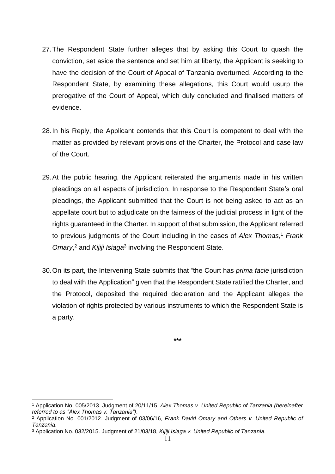- 27.The Respondent State further alleges that by asking this Court to quash the conviction, set aside the sentence and set him at liberty, the Applicant is seeking to have the decision of the Court of Appeal of Tanzania overturned. According to the Respondent State, by examining these allegations, this Court would usurp the prerogative of the Court of Appeal, which duly concluded and finalised matters of evidence.
- 28.In his Reply, the Applicant contends that this Court is competent to deal with the matter as provided by relevant provisions of the Charter, the Protocol and case law of the Court.
- 29.At the public hearing, the Applicant reiterated the arguments made in his written pleadings on all aspects of jurisdiction. In response to the Respondent State's oral pleadings, the Applicant submitted that the Court is not being asked to act as an appellate court but to adjudicate on the fairness of the judicial process in light of the rights guaranteed in the Charter. In support of that submission, the Applicant referred to previous judgments of the Court including in the cases of *Alex Thomas*, <sup>1</sup> *Frank Omary*, <sup>2</sup> and *Kijiji Isiaga*<sup>3</sup> involving the Respondent State.
- 30.On its part, the Intervening State submits that "the Court has *prima facie* jurisdiction to deal with the Application" given that the Respondent State ratified the Charter, and the Protocol, deposited the required declaration and the Applicant alleges the violation of rights protected by various instruments to which the Respondent State is a party.

**\*\*\***

 $\overline{a}$ <sup>1</sup> Application No. 005/2013. Judgment of 20/11/15, *Alex Thomas v. United Republic of Tanzania (hereinafter referred to as "Alex Thomas v. Tanzania")*.

<sup>2</sup> Application No. 001/2012. Judgment of 03/06/16, *Frank David Omary and Others v. United Republic of Tanzania*.

<sup>3</sup> Application No. 032/2015. Judgment of 21/03/18, *Kijiji Isiaga v. United Republic of Tanzania*.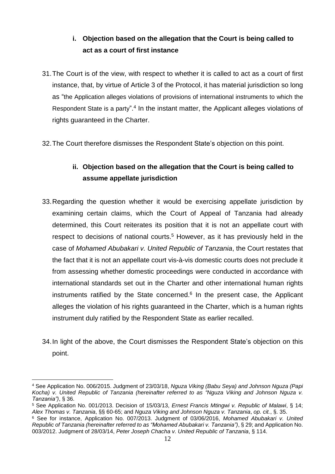# **i. Objection based on the allegation that the Court is being called to act as a court of first instance**

- <span id="page-12-0"></span>31.The Court is of the view, with respect to whether it is called to act as a court of first instance, that, by virtue of Article 3 of the Protocol, it has material jurisdiction so long as "the Application alleges violations of provisions of international instruments to which the Respondent State is a party".<sup>4</sup> In the instant matter, the Applicant alleges violations of rights guaranteed in the Charter.
- <span id="page-12-1"></span>32.The Court therefore dismisses the Respondent State's objection on this point.

## **ii. Objection based on the allegation that the Court is being called to assume appellate jurisdiction**

- 33.Regarding the question whether it would be exercising appellate jurisdiction by examining certain claims, which the Court of Appeal of Tanzania had already determined, this Court reiterates its position that it is not an appellate court with respect to decisions of national courts.<sup>5</sup> However, as it has previously held in the case of *Mohamed Abubakari v. United Republic of Tanzania*, the Court restates that the fact that it is not an appellate court vis-à-vis domestic courts does not preclude it from assessing whether domestic proceedings were conducted in accordance with international standards set out in the Charter and other international human rights instruments ratified by the State concerned. $6$  In the present case, the Applicant alleges the violation of his rights guaranteed in the Charter, which is a human rights instrument duly ratified by the Respondent State as earlier recalled.
- 34.In light of the above, the Court dismisses the Respondent State's objection on this point.

<sup>4</sup> See Application No. 006/2015. Judgment of 23/03/18, *Nguza Viking (Babu Seya) and Johnson Nguza (Papi Kocha) v. United Republic of Tanzania (hereinafter referred to as "Nguza Viking and Johnson Nguza v. Tanzania")*, § 36.

<sup>5</sup> See Application No. 001/2013. Decision of 15/03/13, *Ernest Francis Mtingwi v. Republic of Malawi*, § 14; *Alex Thomas v. Tanzania*, §§ 60-65; and *Nguza Viking and Johnson Nguza v. Tanzania*, *op. cit.*, §. 35.

<sup>6</sup> See for instance, Application No. 007/2013. Judgment of 03/06/2016, *Mohamed Abubakari v. United Republic of Tanzania (hereinafter referred to as "Mohamed Abubakari v. Tanzania")*, § 29; and Application No. 003/2012. Judgment of 28/03/14, *Peter Joseph Chacha v. United Republic of Tanzania*, § 114.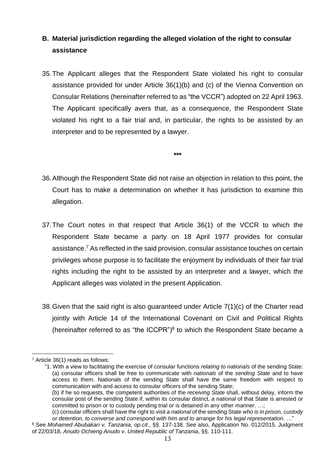# <span id="page-13-0"></span>**B. Material jurisdiction regarding the alleged violation of the right to consular assistance**

- 35.The Applicant alleges that the Respondent State violated his right to consular assistance provided for under Article 36(1)(b) and (c) of the Vienna Convention on Consular Relations (hereinafter referred to as "the VCCR") adopted on 22 April 1963. The Applicant specifically avers that, as a consequence, the Respondent State violated his right to a fair trial and, in particular, the rights to be assisted by an interpreter and to be represented by a lawyer.
- 36.Although the Respondent State did not raise an objection in relation to this point, the Court has to make a determination on whether it has jurisdiction to examine this allegation.

**\*\*\***

- 37.The Court notes in that respect that Article 36(1) of the VCCR to which the Respondent State became a party on 18 April 1977 provides for consular assistance.<sup>7</sup> As reflected in the said provision, consular assistance touches on certain privileges whose purpose is to facilitate the enjoyment by individuals of their fair trial rights including the right to be assisted by an interpreter and a lawyer, which the Applicant alleges was violated in the present Application.
- 38.Given that the said right is also guaranteed under Article 7(1)(c) of the Charter read jointly with Article 14 of the International Covenant on Civil and Political Rights (hereinafter referred to as "the ICCPR") $8$  to which the Respondent State became a

 $\overline{a}$ <sup>7</sup> Article 36(1) reads as follows:

<sup>&</sup>quot;1. With a view to facilitating the exercise of consular functions *relating to nationals* of the sending State: (a) consular officers shall be free to communicate with *nationals* of the *sending State* and to have access to them. Nationals of the sending State shall have the same freedom with respect to communication with and access to consular officers of the sending State;

<sup>(</sup>b) if he so requests, the competent authorities of the *receiving State* shall, without delay, inform the consular post of the sending State if, within its consular district, *a national* of that State is arrested or committed to prison or to custody pending trial or is detained in any other manner. …;

<sup>(</sup>c) consular officers shall have the right to visit *a national* of the sending State *who is in prison, custody or detention, to converse and correspond with him and to arrange for his legal representation*. …"

<sup>8</sup> See *Mohamed Abubakari v. Tanzania*, *op.cit.*, §§. 137-138. See also, Application No. 012/2015. Judgment of 22/03/18, *Anudo Ochieng Anudo v. United Republic of Tanzania*, §§. 110-111.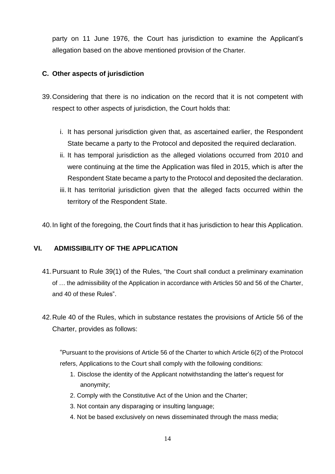party on 11 June 1976, the Court has jurisdiction to examine the Applicant's allegation based on the above mentioned provision of the Charter.

### <span id="page-14-0"></span>**C. Other aspects of jurisdiction**

- 39.Considering that there is no indication on the record that it is not competent with respect to other aspects of jurisdiction, the Court holds that:
	- i. It has personal jurisdiction given that, as ascertained earlier, the Respondent State became a party to the Protocol and deposited the required declaration.
	- ii. It has temporal jurisdiction as the alleged violations occurred from 2010 and were continuing at the time the Application was filed in 2015, which is after the Respondent State became a party to the Protocol and deposited the declaration.
	- iii. It has territorial jurisdiction given that the alleged facts occurred within the territory of the Respondent State.

40.In light of the foregoing, the Court finds that it has jurisdiction to hear this Application.

## <span id="page-14-1"></span>**VI. ADMISSIBILITY OF THE APPLICATION**

- 41.Pursuant to Rule 39(1) of the Rules, "the Court shall conduct a preliminary examination of … the admissibility of the Application in accordance with Articles 50 and 56 of the Charter, and 40 of these Rules".
- 42.Rule 40 of the Rules, which in substance restates the provisions of Article 56 of the Charter, provides as follows:

"Pursuant to the provisions of Article 56 of the Charter to which Article 6(2) of the Protocol refers, Applications to the Court shall comply with the following conditions:

- 1. Disclose the identity of the Applicant notwithstanding the latter's request for anonymity;
- 2. Comply with the Constitutive Act of the Union and the Charter;
- 3. Not contain any disparaging or insulting language;
- 4. Not be based exclusively on news disseminated through the mass media;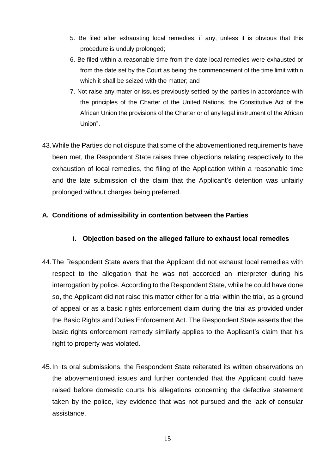- 5. Be filed after exhausting local remedies, if any, unless it is obvious that this procedure is unduly prolonged;
- 6. Be filed within a reasonable time from the date local remedies were exhausted or from the date set by the Court as being the commencement of the time limit within which it shall be seized with the matter; and
- 7. Not raise any mater or issues previously settled by the parties in accordance with the principles of the Charter of the United Nations, the Constitutive Act of the African Union the provisions of the Charter or of any legal instrument of the African Union".
- 43.While the Parties do not dispute that some of the abovementioned requirements have been met, the Respondent State raises three objections relating respectively to the exhaustion of local remedies, the filing of the Application within a reasonable time and the late submission of the claim that the Applicant's detention was unfairly prolonged without charges being preferred.

## <span id="page-15-1"></span><span id="page-15-0"></span>**A. Conditions of admissibility in contention between the Parties**

## **i. Objection based on the alleged failure to exhaust local remedies**

- 44.The Respondent State avers that the Applicant did not exhaust local remedies with respect to the allegation that he was not accorded an interpreter during his interrogation by police. According to the Respondent State, while he could have done so, the Applicant did not raise this matter either for a trial within the trial, as a ground of appeal or as a basic rights enforcement claim during the trial as provided under the Basic Rights and Duties Enforcement Act. The Respondent State asserts that the basic rights enforcement remedy similarly applies to the Applicant's claim that his right to property was violated.
- 45.In its oral submissions, the Respondent State reiterated its written observations on the abovementioned issues and further contended that the Applicant could have raised before domestic courts his allegations concerning the defective statement taken by the police, key evidence that was not pursued and the lack of consular assistance.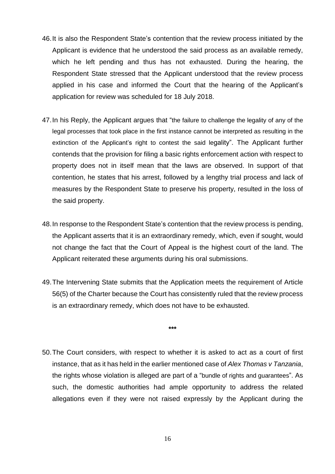- 46.It is also the Respondent State's contention that the review process initiated by the Applicant is evidence that he understood the said process as an available remedy, which he left pending and thus has not exhausted. During the hearing, the Respondent State stressed that the Applicant understood that the review process applied in his case and informed the Court that the hearing of the Applicant's application for review was scheduled for 18 July 2018.
- 47.In his Reply, the Applicant argues that "the failure to challenge the legality of any of the legal processes that took place in the first instance cannot be interpreted as resulting in the extinction of the Applicant's right to contest the said legality". The Applicant further contends that the provision for filing a basic rights enforcement action with respect to property does not in itself mean that the laws are observed. In support of that contention, he states that his arrest, followed by a lengthy trial process and lack of measures by the Respondent State to preserve his property, resulted in the loss of the said property.
- 48.In response to the Respondent State's contention that the review process is pending, the Applicant asserts that it is an extraordinary remedy, which, even if sought, would not change the fact that the Court of Appeal is the highest court of the land. The Applicant reiterated these arguments during his oral submissions.
- 49.The Intervening State submits that the Application meets the requirement of Article 56(5) of the Charter because the Court has consistently ruled that the review process is an extraordinary remedy, which does not have to be exhausted.

**\*\*\***

50.The Court considers, with respect to whether it is asked to act as a court of first instance, that as it has held in the earlier mentioned case of *Alex Thomas v Tanzania*, the rights whose violation is alleged are part of a "bundle of rights and guarantees". As such, the domestic authorities had ample opportunity to address the related allegations even if they were not raised expressly by the Applicant during the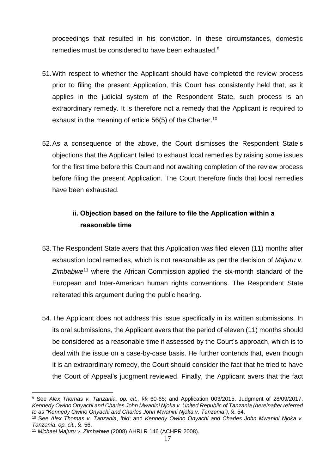proceedings that resulted in his conviction. In these circumstances, domestic remedies must be considered to have been exhausted.<sup>9</sup>

- 51.With respect to whether the Applicant should have completed the review process prior to filing the present Application, this Court has consistently held that, as it applies in the judicial system of the Respondent State, such process is an extraordinary remedy. It is therefore not a remedy that the Applicant is required to exhaust in the meaning of article 56(5) of the Charter.<sup>10</sup>
- 52.As a consequence of the above, the Court dismisses the Respondent State's objections that the Applicant failed to exhaust local remedies by raising some issues for the first time before this Court and not awaiting completion of the review process before filing the present Application. The Court therefore finds that local remedies have been exhausted.

## **ii. Objection based on the failure to file the Application within a reasonable time**

- <span id="page-17-0"></span>53.The Respondent State avers that this Application was filed eleven (11) months after exhaustion local remedies, which is not reasonable as per the decision of *Majuru v. Zimbabwe*<sup>11</sup> where the African Commission applied the six-month standard of the European and Inter-American human rights conventions. The Respondent State reiterated this argument during the public hearing.
- 54.The Applicant does not address this issue specifically in its written submissions. In its oral submissions, the Applicant avers that the period of eleven (11) months should be considered as a reasonable time if assessed by the Court's approach, which is to deal with the issue on a case-by-case basis. He further contends that, even though it is an extraordinary remedy, the Court should consider the fact that he tried to have the Court of Appeal's judgment reviewed. Finally, the Applicant avers that the fact

<sup>9</sup> See *Alex Thomas v. Tanzania, op. cit.*, §§ 60-65; and Application 003/2015. Judgment of 28/09/2017, *Kennedy Owino Onyachi and Charles John Mwanini Njoka v. United Republic of Tanzania (hereinafter referred to as "Kennedy Owino Onyachi and Charles John Mwanini Njoka v. Tanzania")*, §. 54.

<sup>10</sup> See *Alex Thomas v. Tanzania*, *ibid*; and *Kennedy Owino Onyachi and Charles John Mwanini Njoka v. Tanzania*, *op. cit.*, §. 56.

<sup>11</sup> *Michael Majuru v. Zimbabwe* (2008) AHRLR 146 (ACHPR 2008).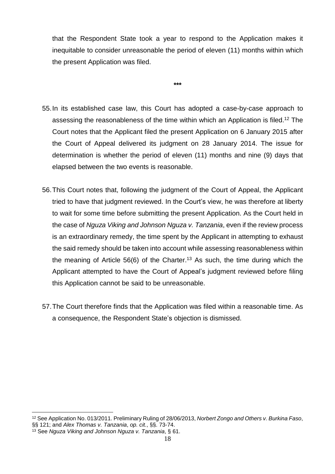that the Respondent State took a year to respond to the Application makes it inequitable to consider unreasonable the period of eleven (11) months within which the present Application was filed.

**\*\*\***

- 55.In its established case law, this Court has adopted a case-by-case approach to assessing the reasonableness of the time within which an Application is filed. <sup>12</sup> The Court notes that the Applicant filed the present Application on 6 January 2015 after the Court of Appeal delivered its judgment on 28 January 2014. The issue for determination is whether the period of eleven (11) months and nine (9) days that elapsed between the two events is reasonable.
- 56.This Court notes that, following the judgment of the Court of Appeal, the Applicant tried to have that judgment reviewed. In the Court's view, he was therefore at liberty to wait for some time before submitting the present Application. As the Court held in the case of *Nguza Viking and Johnson Nguza v. Tanzania*, even if the review process is an extraordinary remedy, the time spent by the Applicant in attempting to exhaust the said remedy should be taken into account while assessing reasonableness within the meaning of Article 56(6) of the Charter.<sup>13</sup> As such, the time during which the Applicant attempted to have the Court of Appeal's judgment reviewed before filing this Application cannot be said to be unreasonable.
- 57.The Court therefore finds that the Application was filed within a reasonable time. As a consequence, the Respondent State's objection is dismissed.

<sup>12</sup> See Application No. 013/2011. Preliminary Ruling of 28/06/2013, *Norbert Zongo and Others v. Burkina Faso*, §§ 121; and *Alex Thomas v. Tanzania*, *op. cit.*, §§. 73-74.

<sup>13</sup> See *Nguza Viking and Johnson Nguza v. Tanzania*, § 61.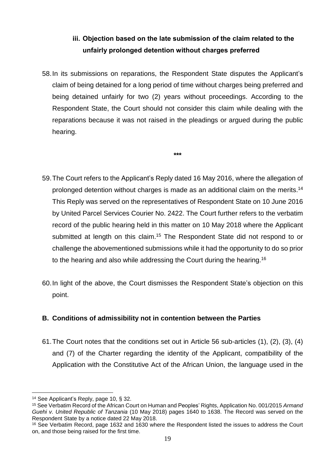# **iii. Objection based on the late submission of the claim related to the unfairly prolonged detention without charges preferred**

<span id="page-19-1"></span><span id="page-19-0"></span>58.In its submissions on reparations, the Respondent State disputes the Applicant's claim of being detained for a long period of time without charges being preferred and being detained unfairly for two (2) years without proceedings. According to the Respondent State, the Court should not consider this claim while dealing with the reparations because it was not raised in the pleadings or argued during the public hearing.

**\*\*\***

- 59.The Court refers to the Applicant's Reply dated 16 May 2016, where the allegation of prolonged detention without charges is made as an additional claim on the merits.<sup>14</sup> This Reply was served on the representatives of Respondent State on 10 June 2016 by United Parcel Services Courier No. 2422. The Court further refers to the verbatim record of the public hearing held in this matter on 10 May 2018 where the Applicant submitted at length on this claim.<sup>15</sup> The Respondent State did not respond to or challenge the abovementioned submissions while it had the opportunity to do so prior to the hearing and also while addressing the Court during the hearing.<sup>16</sup>
- 60.In light of the above, the Court dismisses the Respondent State's objection on this point.

## <span id="page-19-2"></span>**B. Conditions of admissibility not in contention between the Parties**

61.The Court notes that the conditions set out in Article 56 sub-articles (1), (2), (3), (4) and (7) of the Charter regarding the identity of the Applicant, compatibility of the Application with the Constitutive Act of the African Union, the language used in the

<sup>14</sup> See Applicant's Reply, page 10, § 32.

<sup>15</sup> See Verbatim Record of the African Court on Human and Peoples' Rights, Application No. 001/2015 *Armand Guehi v. United Republic of Tanzania* (10 May 2018) pages 1640 to 1638. The Record was served on the Respondent State by a notice dated 22 May 2018.

<sup>16</sup> See Verbatim Record, page 1632 and 1630 where the Respondent listed the issues to address the Court on, and those being raised for the first time.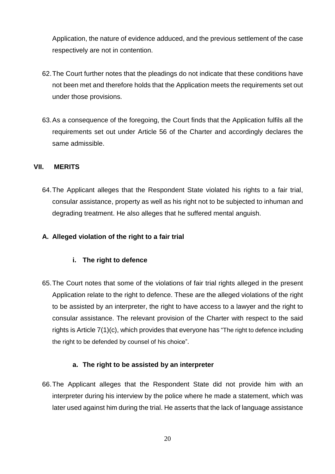Application, the nature of evidence adduced, and the previous settlement of the case respectively are not in contention.

- 62.The Court further notes that the pleadings do not indicate that these conditions have not been met and therefore holds that the Application meets the requirements set out under those provisions.
- 63.As a consequence of the foregoing, the Court finds that the Application fulfils all the requirements set out under Article 56 of the Charter and accordingly declares the same admissible.

### <span id="page-20-0"></span>**VII. MERITS**

64.The Applicant alleges that the Respondent State violated his rights to a fair trial, consular assistance, property as well as his right not to be subjected to inhuman and degrading treatment. He also alleges that he suffered mental anguish.

### <span id="page-20-2"></span><span id="page-20-1"></span>**A. Alleged violation of the right to a fair trial**

## **i. The right to defence**

65.The Court notes that some of the violations of fair trial rights alleged in the present Application relate to the right to defence. These are the alleged violations of the right to be assisted by an interpreter, the right to have access to a lawyer and the right to consular assistance. The relevant provision of the Charter with respect to the said rights is Article 7(1)(c), which provides that everyone has "The right to defence including the right to be defended by counsel of his choice".

#### **a. The right to be assisted by an interpreter**

<span id="page-20-3"></span>66.The Applicant alleges that the Respondent State did not provide him with an interpreter during his interview by the police where he made a statement, which was later used against him during the trial. He asserts that the lack of language assistance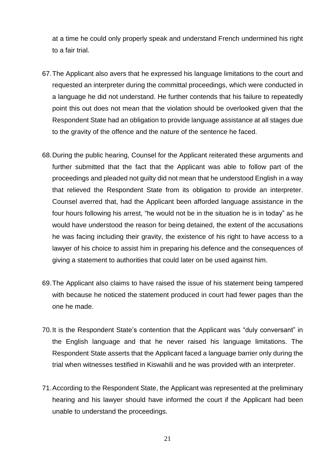at a time he could only properly speak and understand French undermined his right to a fair trial.

- 67.The Applicant also avers that he expressed his language limitations to the court and requested an interpreter during the committal proceedings, which were conducted in a language he did not understand. He further contends that his failure to repeatedly point this out does not mean that the violation should be overlooked given that the Respondent State had an obligation to provide language assistance at all stages due to the gravity of the offence and the nature of the sentence he faced.
- 68.During the public hearing, Counsel for the Applicant reiterated these arguments and further submitted that the fact that the Applicant was able to follow part of the proceedings and pleaded not guilty did not mean that he understood English in a way that relieved the Respondent State from its obligation to provide an interpreter. Counsel averred that, had the Applicant been afforded language assistance in the four hours following his arrest, "he would not be in the situation he is in today" as he would have understood the reason for being detained, the extent of the accusations he was facing including their gravity, the existence of his right to have access to a lawyer of his choice to assist him in preparing his defence and the consequences of giving a statement to authorities that could later on be used against him.
- 69.The Applicant also claims to have raised the issue of his statement being tampered with because he noticed the statement produced in court had fewer pages than the one he made.
- 70.It is the Respondent State's contention that the Applicant was "duly conversant" in the English language and that he never raised his language limitations. The Respondent State asserts that the Applicant faced a language barrier only during the trial when witnesses testified in Kiswahili and he was provided with an interpreter.
- 71.According to the Respondent State, the Applicant was represented at the preliminary hearing and his lawyer should have informed the court if the Applicant had been unable to understand the proceedings.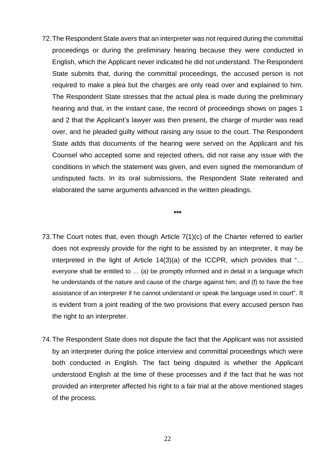72.The Respondent State avers that an interpreter was not required during the committal proceedings or during the preliminary hearing because they were conducted in English, which the Applicant never indicated he did not understand. The Respondent State submits that, during the committal proceedings, the accused person is not required to make a plea but the charges are only read over and explained to him. The Respondent State stresses that the actual plea is made during the preliminary hearing and that, in the instant case, the record of proceedings shows on pages 1 and 2 that the Applicant's lawyer was then present, the charge of murder was read over, and he pleaded guilty without raising any issue to the court. The Respondent State adds that documents of the hearing were served on the Applicant and his Counsel who accepted some and rejected others, did not raise any issue with the conditions in which the statement was given, and even signed the memorandum of undisputed facts. In its oral submissions, the Respondent State reiterated and elaborated the same arguments advanced in the written pleadings.

**\*\*\***

- 73.The Court notes that, even though Article 7(1)(c) of the Charter referred to earlier does not expressly provide for the right to be assisted by an interpreter, it may be interpreted in the light of Article 14(3)(a) of the ICCPR, which provides that "… everyone shall be entitled to … (a) be promptly informed and in detail in a language which he understands of the nature and cause of the charge against him; and (f) to have the free assistance of an interpreter if he cannot understand or speak the language used in court". It is evident from a joint reading of the two provisions that every accused person has the right to an interpreter.
- 74.The Respondent State does not dispute the fact that the Applicant was not assisted by an interpreter during the police interview and committal proceedings which were both conducted in English. The fact being disputed is whether the Applicant understood English at the time of these processes and if the fact that he was not provided an interpreter affected his right to a fair trial at the above mentioned stages of the process.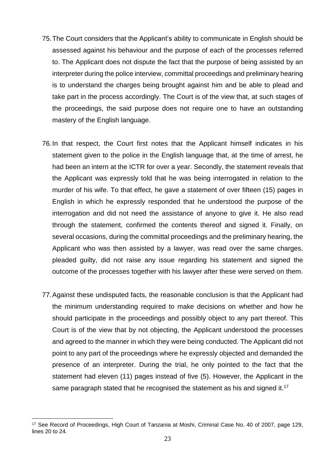- 75.The Court considers that the Applicant's ability to communicate in English should be assessed against his behaviour and the purpose of each of the processes referred to. The Applicant does not dispute the fact that the purpose of being assisted by an interpreter during the police interview, committal proceedings and preliminary hearing is to understand the charges being brought against him and be able to plead and take part in the process accordingly. The Court is of the view that, at such stages of the proceedings, the said purpose does not require one to have an outstanding mastery of the English language.
- 76.In that respect, the Court first notes that the Applicant himself indicates in his statement given to the police in the English language that, at the time of arrest, he had been an intern at the ICTR for over a year. Secondly, the statement reveals that the Applicant was expressly told that he was being interrogated in relation to the murder of his wife. To that effect, he gave a statement of over fifteen (15) pages in English in which he expressly responded that he understood the purpose of the interrogation and did not need the assistance of anyone to give it. He also read through the statement, confirmed the contents thereof and signed it. Finally, on several occasions, during the committal proceedings and the preliminary hearing, the Applicant who was then assisted by a lawyer, was read over the same charges, pleaded guilty, did not raise any issue regarding his statement and signed the outcome of the processes together with his lawyer after these were served on them.
- 77.Against these undisputed facts, the reasonable conclusion is that the Applicant had the minimum understanding required to make decisions on whether and how he should participate in the proceedings and possibly object to any part thereof. This Court is of the view that by not objecting, the Applicant understood the processes and agreed to the manner in which they were being conducted. The Applicant did not point to any part of the proceedings where he expressly objected and demanded the presence of an interpreter. During the trial, he only pointed to the fact that the statement had eleven (11) pages instead of five (5). However, the Applicant in the same paragraph stated that he recognised the statement as his and signed it.<sup>17</sup>

 $\overline{a}$ <sup>17</sup> See Record of Proceedings, High Court of Tanzania at Moshi, Criminal Case No. 40 of 2007, page 129, lines 20 to 24.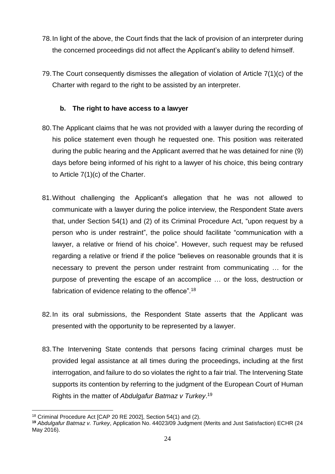- 78.In light of the above, the Court finds that the lack of provision of an interpreter during the concerned proceedings did not affect the Applicant's ability to defend himself.
- 79.The Court consequently dismisses the allegation of violation of Article 7(1)(c) of the Charter with regard to the right to be assisted by an interpreter.

## **b. The right to have access to a lawyer**

- <span id="page-24-0"></span>80.The Applicant claims that he was not provided with a lawyer during the recording of his police statement even though he requested one. This position was reiterated during the public hearing and the Applicant averred that he was detained for nine (9) days before being informed of his right to a lawyer of his choice, this being contrary to Article 7(1)(c) of the Charter.
- 81.Without challenging the Applicant's allegation that he was not allowed to communicate with a lawyer during the police interview, the Respondent State avers that, under Section 54(1) and (2) of its Criminal Procedure Act, "upon request by a person who is under restraint", the police should facilitate "communication with a lawyer, a relative or friend of his choice". However, such request may be refused regarding a relative or friend if the police "believes on reasonable grounds that it is necessary to prevent the person under restraint from communicating … for the purpose of preventing the escape of an accomplice … or the loss, destruction or fabrication of evidence relating to the offence".<sup>18</sup>
- 82.In its oral submissions, the Respondent State asserts that the Applicant was presented with the opportunity to be represented by a lawyer.
- 83.The Intervening State contends that persons facing criminal charges must be provided legal assistance at all times during the proceedings, including at the first interrogation, and failure to do so violates the right to a fair trial. The Intervening State supports its contention by referring to the judgment of the European Court of Human Rights in the matter of *Abdulgafur Batmaz v Turkey*. 19

 $\overline{a}$ <sup>18</sup> Criminal Procedure Act [CAP 20 RE 2002], Section 54(1) and (2).

**<sup>19</sup>** *Abdulgafur Batmaz v. Turkey*, Application No. 44023/09 Judgment (Merits and Just Satisfaction) ECHR (24 May 2016).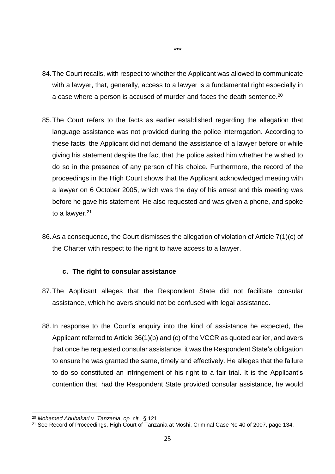84.The Court recalls, with respect to whether the Applicant was allowed to communicate with a lawyer, that, generally, access to a lawyer is a fundamental right especially in a case where a person is accused of murder and faces the death sentence. $20$ 

**\*\*\***

- 85.The Court refers to the facts as earlier established regarding the allegation that language assistance was not provided during the police interrogation. According to these facts, the Applicant did not demand the assistance of a lawyer before or while giving his statement despite the fact that the police asked him whether he wished to do so in the presence of any person of his choice. Furthermore, the record of the proceedings in the High Court shows that the Applicant acknowledged meeting with a lawyer on 6 October 2005, which was the day of his arrest and this meeting was before he gave his statement. He also requested and was given a phone, and spoke to a lawyer.<sup>21</sup>
- 86.As a consequence, the Court dismisses the allegation of violation of Article 7(1)(c) of the Charter with respect to the right to have access to a lawyer.

#### **c. The right to consular assistance**

- <span id="page-25-0"></span>87.The Applicant alleges that the Respondent State did not facilitate consular assistance, which he avers should not be confused with legal assistance.
- 88.In response to the Court's enquiry into the kind of assistance he expected, the Applicant referred to Article 36(1)(b) and (c) of the VCCR as quoted earlier, and avers that once he requested consular assistance, it was the Respondent State's obligation to ensure he was granted the same, timely and effectively. He alleges that the failure to do so constituted an infringement of his right to a fair trial. It is the Applicant's contention that, had the Respondent State provided consular assistance, he would

 $\overline{a}$ <sup>20</sup> *Mohamed Abubakari v. Tanzania*, *op. cit.*, § 121.

<sup>21</sup> See Record of Proceedings, High Court of Tanzania at Moshi, Criminal Case No 40 of 2007, page 134.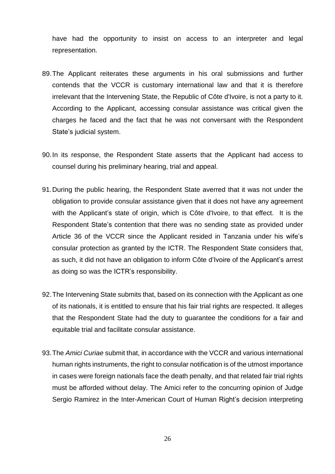have had the opportunity to insist on access to an interpreter and legal representation.

- 89.The Applicant reiterates these arguments in his oral submissions and further contends that the VCCR is customary international law and that it is therefore irrelevant that the Intervening State, the Republic of Côte d'Ivoire, is not a party to it. According to the Applicant, accessing consular assistance was critical given the charges he faced and the fact that he was not conversant with the Respondent State's judicial system.
- 90.In its response, the Respondent State asserts that the Applicant had access to counsel during his preliminary hearing, trial and appeal.
- 91.During the public hearing, the Respondent State averred that it was not under the obligation to provide consular assistance given that it does not have any agreement with the Applicant's state of origin, which is Côte d'Ivoire, to that effect. It is the Respondent State's contention that there was no sending state as provided under Article 36 of the VCCR since the Applicant resided in Tanzania under his wife's consular protection as granted by the ICTR. The Respondent State considers that, as such, it did not have an obligation to inform Côte d'Ivoire of the Applicant's arrest as doing so was the ICTR's responsibility.
- 92.The Intervening State submits that, based on its connection with the Applicant as one of its nationals, it is entitled to ensure that his fair trial rights are respected. It alleges that the Respondent State had the duty to guarantee the conditions for a fair and equitable trial and facilitate consular assistance.
- 93.The *Amici Curiae* submit that, in accordance with the VCCR and various international human rights instruments, the right to consular notification is of the utmost importance in cases were foreign nationals face the death penalty, and that related fair trial rights must be afforded without delay. The Amici refer to the concurring opinion of Judge Sergio Ramirez in the Inter-American Court of Human Right's decision interpreting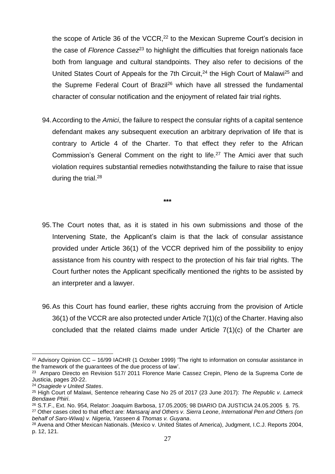the scope of Article 36 of the VCCR,<sup>22</sup> to the Mexican Supreme Court's decision in the case of *Florence Cassez*<sup>23</sup> to highlight the difficulties that foreign nationals face both from language and cultural standpoints. They also refer to decisions of the United States Court of Appeals for the 7th Circuit,<sup>24</sup> the High Court of Malawi<sup>25</sup> and the Supreme Federal Court of Brazil<sup>26</sup> which have all stressed the fundamental character of consular notification and the enjoyment of related fair trial rights.

94.According to the *Amici*, the failure to respect the consular rights of a capital sentence defendant makes any subsequent execution an arbitrary deprivation of life that is contrary to Article 4 of the Charter. To that effect they refer to the African Commission's General Comment on the right to life.<sup>27</sup> The Amici aver that such violation requires substantial remedies notwithstanding the failure to raise that issue during the trial.<sup>28</sup>

**\*\*\***

- 95.The Court notes that, as it is stated in his own submissions and those of the Intervening State, the Applicant's claim is that the lack of consular assistance provided under Article 36(1) of the VCCR deprived him of the possibility to enjoy assistance from his country with respect to the protection of his fair trial rights. The Court further notes the Applicant specifically mentioned the rights to be assisted by an interpreter and a lawyer.
- 96.As this Court has found earlier, these rights accruing from the provision of Article 36(1) of the VCCR are also protected under Article 7(1)(c) of the Charter. Having also concluded that the related claims made under Article  $7(1)(c)$  of the Charter are

 $\overline{a}$ <sup>22</sup> Advisory Opinion CC – 16/99 IACHR (1 October 1999) 'The right to information on consular assistance in the framework of the guarantees of the due process of law'.

<sup>&</sup>lt;sup>23</sup> Amparo Directo en Revision 517/ 2011 Florence Marie Cassez Crepin, Pleno de la Suprema Corte de Justicia, pages 20-22.

<sup>24</sup> *Osagiede v United States*.

<sup>25</sup> High Court of Malawi, Sentence rehearing Case No 25 of 2017 (23 June 2017): *The Republic v. Lameck Bendawe Phiri*.

<sup>26</sup> S.T.F., Ext. No. 954, Relator: Joaquim Barbosa, 17.05.2005; 98 DIARIO DA JUSTICIA 24.05.2005 §. 75.

<sup>27</sup> Other cases cited to that effect are: *Mansaraj and Others v. Sierra Leone*, *International Pen and Others (on behalf of Saro-Wiwa) v. Nigeria*, *Yasseen & Thomas v. Guyana*.

<sup>28</sup> Avena and Other Mexican Nationals. (Mexico v. United States of America), Judgment, I.C.J. Reports 2004, p. 12, 121.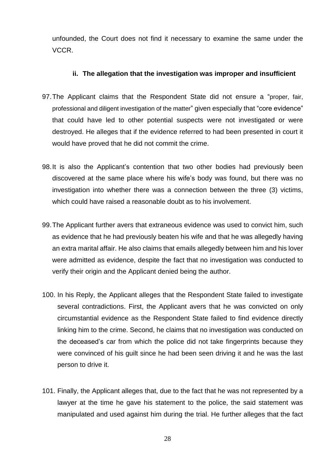unfounded, the Court does not find it necessary to examine the same under the VCCR.

#### **ii. The allegation that the investigation was improper and insufficient**

- <span id="page-28-0"></span>97.The Applicant claims that the Respondent State did not ensure a "proper, fair, professional and diligent investigation of the matter" given especially that "core evidence" that could have led to other potential suspects were not investigated or were destroyed. He alleges that if the evidence referred to had been presented in court it would have proved that he did not commit the crime.
- 98.It is also the Applicant's contention that two other bodies had previously been discovered at the same place where his wife's body was found, but there was no investigation into whether there was a connection between the three (3) victims, which could have raised a reasonable doubt as to his involvement.
- 99.The Applicant further avers that extraneous evidence was used to convict him, such as evidence that he had previously beaten his wife and that he was allegedly having an extra marital affair. He also claims that emails allegedly between him and his lover were admitted as evidence, despite the fact that no investigation was conducted to verify their origin and the Applicant denied being the author.
- 100. In his Reply, the Applicant alleges that the Respondent State failed to investigate several contradictions. First, the Applicant avers that he was convicted on only circumstantial evidence as the Respondent State failed to find evidence directly linking him to the crime. Second, he claims that no investigation was conducted on the deceased's car from which the police did not take fingerprints because they were convinced of his guilt since he had been seen driving it and he was the last person to drive it.
- 101. Finally, the Applicant alleges that, due to the fact that he was not represented by a lawyer at the time he gave his statement to the police, the said statement was manipulated and used against him during the trial. He further alleges that the fact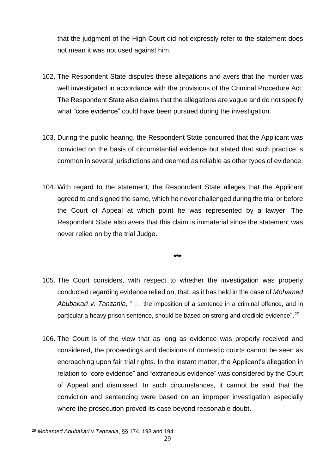that the judgment of the High Court did not expressly refer to the statement does not mean it was not used against him.

- 102. The Respondent State disputes these allegations and avers that the murder was well investigated in accordance with the provisions of the Criminal Procedure Act. The Respondent State also claims that the allegations are vague and do not specify what "core evidence" could have been pursued during the investigation.
- 103. During the public hearing, the Respondent State concurred that the Applicant was convicted on the basis of circumstantial evidence but stated that such practice is common in several jurisdictions and deemed as reliable as other types of evidence.
- 104. With regard to the statement, the Respondent State alleges that the Applicant agreed to and signed the same, which he never challenged during the trial or before the Court of Appeal at which point he was represented by a lawyer. The Respondent State also avers that this claim is immaterial since the statement was never relied on by the trial Judge.

**\*\*\***

- 105. The Court considers, with respect to whether the investigation was properly conducted regarding evidence relied on, that, as it has held in the case of *Mohamed Abubakari v. Tanzania*, " … the imposition of a sentence in a criminal offence, and in particular a heavy prison sentence, should be based on strong and credible evidence".<sup>29</sup>
- 106. The Court is of the view that as long as evidence was properly received and considered, the proceedings and decisions of domestic courts cannot be seen as encroaching upon fair trial rights. In the instant matter, the Applicant's allegation in relation to "core evidence" and "extraneous evidence" was considered by the Court of Appeal and dismissed. In such circumstances, it cannot be said that the conviction and sentencing were based on an improper investigation especially where the prosecution proved its case beyond reasonable doubt.

 $\overline{a}$ <sup>29</sup> *Mohamed Abubakari v Tanzania*, §§ 174, 193 and 194.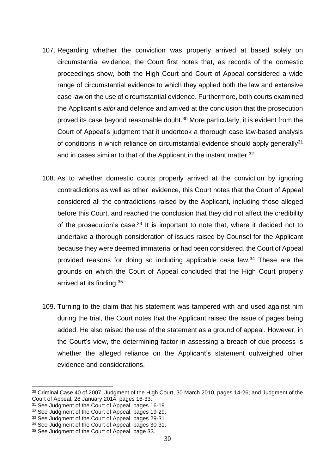- 107. Regarding whether the conviction was properly arrived at based solely on circumstantial evidence, the Court first notes that, as records of the domestic proceedings show, both the High Court and Court of Appeal considered a wide range of circumstantial evidence to which they applied both the law and extensive case law on the use of circumstantial evidence. Furthermore, both courts examined the Applicant's *alibi* and defence and arrived at the conclusion that the prosecution proved its case beyond reasonable doubt. <sup>30</sup> More particularly, it is evident from the Court of Appeal's judgment that it undertook a thorough case law-based analysis of conditions in which reliance on circumstantial evidence should apply generally<sup>31</sup> and in cases similar to that of the Applicant in the instant matter.<sup>32</sup>
- 108. As to whether domestic courts properly arrived at the conviction by ignoring contradictions as well as other evidence, this Court notes that the Court of Appeal considered all the contradictions raised by the Applicant, including those alleged before this Court, and reached the conclusion that they did not affect the credibility of the prosecution's case.<sup>33</sup> It is important to note that, where it decided not to undertake a thorough consideration of issues raised by Counsel for the Applicant because they were deemed immaterial or had been considered, the Court of Appeal provided reasons for doing so including applicable case law.<sup>34</sup> These are the grounds on which the Court of Appeal concluded that the High Court properly arrived at its finding.<sup>35</sup>
- 109. Turning to the claim that his statement was tampered with and used against him during the trial, the Court notes that the Applicant raised the issue of pages being added. He also raised the use of the statement as a ground of appeal. However, in the Court's view, the determining factor in assessing a breach of due process is whether the alleged reliance on the Applicant's statement outweighed other evidence and considerations.

<sup>30</sup> Criminal Case 40 of 2007. Judgment of the High Court, 30 March 2010, pages 14-26; and Judgment of the Court of Appeal, 28 January 2014, pages 16-33.

<sup>&</sup>lt;sup>31</sup> See Judgment of the Court of Appeal, pages 16-19.

<sup>32</sup> See Judgment of the Court of Appeal, pages 19-29.

<sup>&</sup>lt;sup>33</sup> See Judgment of the Court of Appeal, pages 29-31

<sup>&</sup>lt;sup>34</sup> See Judgment of the Court of Appeal, pages 30-31.

<sup>&</sup>lt;sup>35</sup> See Judgment of the Court of Appeal, page 33.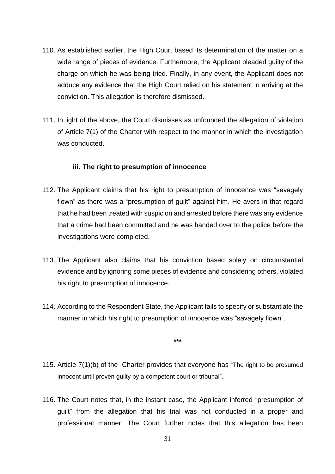- 110. As established earlier, the High Court based its determination of the matter on a wide range of pieces of evidence. Furthermore, the Applicant pleaded guilty of the charge on which he was being tried. Finally, in any event, the Applicant does not adduce any evidence that the High Court relied on his statement in arriving at the conviction. This allegation is therefore dismissed.
- 111. In light of the above, the Court dismisses as unfounded the allegation of violation of Article 7(1) of the Charter with respect to the manner in which the investigation was conducted.

#### **iii. The right to presumption of innocence**

- <span id="page-31-0"></span>112. The Applicant claims that his right to presumption of innocence was "savagely flown" as there was a "presumption of guilt" against him. He avers in that regard that he had been treated with suspicion and arrested before there was any evidence that a crime had been committed and he was handed over to the police before the investigations were completed.
- 113. The Applicant also claims that his conviction based solely on circumstantial evidence and by ignoring some pieces of evidence and considering others, violated his right to presumption of innocence.
- 114. According to the Respondent State, the Applicant fails to specify or substantiate the manner in which his right to presumption of innocence was "savagely flown".

**\*\*\***

- 115. Article 7(1)(b) of the Charter provides that everyone has "The right to be presumed innocent until proven guilty by a competent court or tribunal".
- 116. The Court notes that, in the instant case, the Applicant inferred "presumption of guilt" from the allegation that his trial was not conducted in a proper and professional manner. The Court further notes that this allegation has been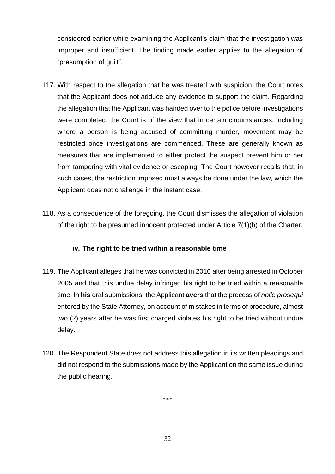considered earlier while examining the Applicant's claim that the investigation was improper and insufficient. The finding made earlier applies to the allegation of "presumption of guilt".

- 117. With respect to the allegation that he was treated with suspicion, the Court notes that the Applicant does not adduce any evidence to support the claim. Regarding the allegation that the Applicant was handed over to the police before investigations were completed, the Court is of the view that in certain circumstances, including where a person is being accused of committing murder, movement may be restricted once investigations are commenced. These are generally known as measures that are implemented to either protect the suspect prevent him or her from tampering with vital evidence or escaping. The Court however recalls that, in such cases, the restriction imposed must always be done under the law, which the Applicant does not challenge in the instant case.
- 118. As a consequence of the foregoing, the Court dismisses the allegation of violation of the right to be presumed innocent protected under Article 7(1)(b) of the Charter.

## **iv. The right to be tried within a reasonable time**

- <span id="page-32-0"></span>119. The Applicant alleges that he was convicted in 2010 after being arrested in October 2005 and that this undue delay infringed his right to be tried within a reasonable time. In **his** oral submissions, the Applicant **avers** that the process of *nolle prosequi* entered by the State Attorney, on account of mistakes in terms of procedure, almost two (2) years after he was first charged violates his right to be tried without undue delay.
- 120. The Respondent State does not address this allegation in its written pleadings and did not respond to the submissions made by the Applicant on the same issue during the public hearing.

\*\*\*

32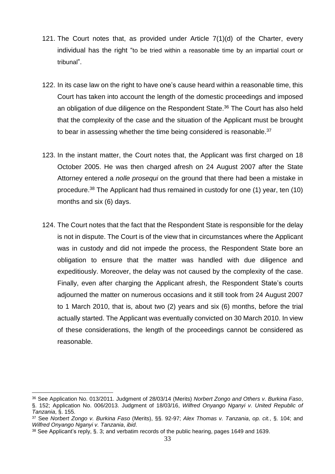- 121. The Court notes that, as provided under Article 7(1)(d) of the Charter, every individual has the right "to be tried within a reasonable time by an impartial court or tribunal".
- 122. In its case law on the right to have one's cause heard within a reasonable time, this Court has taken into account the length of the domestic proceedings and imposed an obligation of due diligence on the Respondent State.<sup>36</sup> The Court has also held that the complexity of the case and the situation of the Applicant must be brought to bear in assessing whether the time being considered is reasonable.<sup>37</sup>
- 123. In the instant matter, the Court notes that, the Applicant was first charged on 18 October 2005. He was then charged afresh on 24 August 2007 after the State Attorney entered a *nolle prosequi* on the ground that there had been a mistake in procedure.<sup>38</sup> The Applicant had thus remained in custody for one (1) year, ten (10) months and six (6) days.
- 124. The Court notes that the fact that the Respondent State is responsible for the delay is not in dispute. The Court is of the view that in circumstances where the Applicant was in custody and did not impede the process, the Respondent State bore an obligation to ensure that the matter was handled with due diligence and expeditiously. Moreover, the delay was not caused by the complexity of the case. Finally, even after charging the Applicant afresh, the Respondent State's courts adjourned the matter on numerous occasions and it still took from 24 August 2007 to 1 March 2010, that is, about two (2) years and six (6) months, before the trial actually started. The Applicant was eventually convicted on 30 March 2010. In view of these considerations, the length of the proceedings cannot be considered as reasonable.

<sup>36</sup> See Application No. 013/2011. Judgment of 28/03/14 (Merits) *Norbert Zongo and Others v. Burkina Faso*, §. 152; Application No. 006/2013. Judgment of 18/03/16, *Wilfred Onyango Nganyi v. United Republic of Tanzania*, §. 155.

<sup>37</sup> See *Norbert Zongo v. Burkina Faso* (Merits), §§. 92-97; *Alex Thomas v. Tanzania*, *op. cit.*, §. 104; and *Wilfred Onyango Nganyi v. Tanzania*, *ibid*.

<sup>38</sup> See Applicant's reply, §. 3; and verbatim records of the public hearing, pages 1649 and 1639.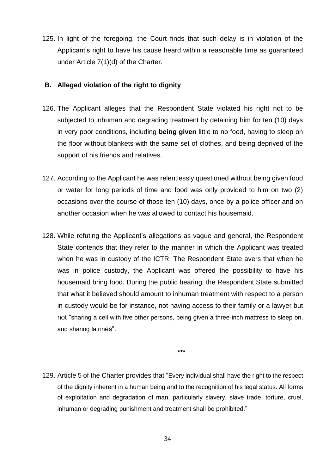125. In light of the foregoing, the Court finds that such delay is in violation of the Applicant's right to have his cause heard within a reasonable time as guaranteed under Article 7(1)(d) of the Charter.

### <span id="page-34-0"></span>**B. Alleged violation of the right to dignity**

- 126. The Applicant alleges that the Respondent State violated his right not to be subjected to inhuman and degrading treatment by detaining him for ten (10) days in very poor conditions, including **being given** little to no food, having to sleep on the floor without blankets with the same set of clothes, and being deprived of the support of his friends and relatives.
- 127. According to the Applicant he was relentlessly questioned without being given food or water for long periods of time and food was only provided to him on two (2) occasions over the course of those ten (10) days, once by a police officer and on another occasion when he was allowed to contact his housemaid.
- 128. While refuting the Applicant's allegations as vague and general, the Respondent State contends that they refer to the manner in which the Applicant was treated when he was in custody of the ICTR. The Respondent State avers that when he was in police custody, the Applicant was offered the possibility to have his housemaid bring food. During the public hearing, the Respondent State submitted that what it believed should amount to inhuman treatment with respect to a person in custody would be for instance, not having access to their family or a lawyer but not "sharing a cell with five other persons, being given a three-inch mattress to sleep on, and sharing latrines".

**\*\*\***

129. Article 5 of the Charter provides that "Every individual shall have the right to the respect of the dignity inherent in a human being and to the recognition of his legal status. All forms of exploitation and degradation of man, particularly slavery, slave trade, torture, cruel, inhuman or degrading punishment and treatment shall be prohibited."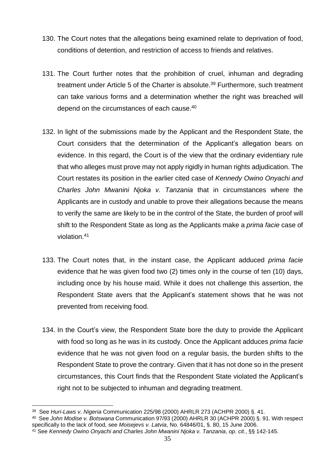- 130. The Court notes that the allegations being examined relate to deprivation of food, conditions of detention, and restriction of access to friends and relatives.
- 131. The Court further notes that the prohibition of cruel, inhuman and degrading treatment under Article 5 of the Charter is absolute.<sup>39</sup> Furthermore, such treatment can take various forms and a determination whether the right was breached will depend on the circumstances of each cause.<sup>40</sup>
- 132. In light of the submissions made by the Applicant and the Respondent State, the Court considers that the determination of the Applicant's allegation bears on evidence. In this regard, the Court is of the view that the ordinary evidentiary rule that who alleges must prove may not apply rigidly in human rights adjudication. The Court restates its position in the earlier cited case of *Kennedy Owino Onyachi and Charles John Mwanini Njoka v. Tanzania* that in circumstances where the Applicants are in custody and unable to prove their allegations because the means to verify the same are likely to be in the control of the State, the burden of proof will shift to the Respondent State as long as the Applicants make a *prima facie* case of violation. 41
- 133. The Court notes that, in the instant case, the Applicant adduced *prima facie* evidence that he was given food two (2) times only in the course of ten (10) days, including once by his house maid. While it does not challenge this assertion, the Respondent State avers that the Applicant's statement shows that he was not prevented from receiving food.
- 134. In the Court's view, the Respondent State bore the duty to provide the Applicant with food so long as he was in its custody. Once the Applicant adduces *prima facie* evidence that he was not given food on a regular basis, the burden shifts to the Respondent State to prove the contrary. Given that it has not done so in the present circumstances, this Court finds that the Respondent State violated the Applicant's right not to be subjected to inhuman and degrading treatment.

<sup>39</sup> See *Huri-Laws v. Nigeria* Communication 225/98 (2000) AHRLR 273 (ACHPR 2000) §. 41.

<sup>40</sup> See *John Modise v. Botswana* Communication 97/93 (2000) AHRLR 30 (ACHPR 2000) §. 91. With respect specifically to the lack of food, see *Moisejevs v. Latvia*, No. 64846/01, §. 80, 15 June 2006.

<sup>41</sup> See *Kennedy Owino Onyachi and Charles John Mwanini Njoka v. Tanzania*, *op. cit.*, §§ 142-145.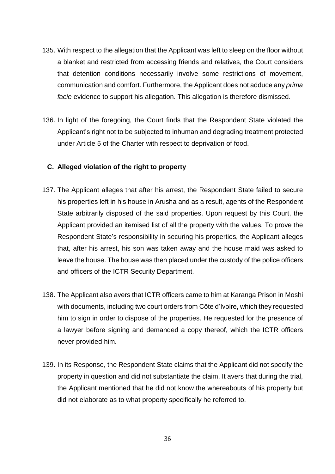- 135. With respect to the allegation that the Applicant was left to sleep on the floor without a blanket and restricted from accessing friends and relatives, the Court considers that detention conditions necessarily involve some restrictions of movement, communication and comfort. Furthermore, the Applicant does not adduce any *prima facie* evidence to support his allegation. This allegation is therefore dismissed.
- 136. In light of the foregoing, the Court finds that the Respondent State violated the Applicant's right not to be subjected to inhuman and degrading treatment protected under Article 5 of the Charter with respect to deprivation of food.

#### <span id="page-36-0"></span>**C. Alleged violation of the right to property**

- 137. The Applicant alleges that after his arrest, the Respondent State failed to secure his properties left in his house in Arusha and as a result, agents of the Respondent State arbitrarily disposed of the said properties. Upon request by this Court, the Applicant provided an itemised list of all the property with the values. To prove the Respondent State's responsibility in securing his properties, the Applicant alleges that, after his arrest, his son was taken away and the house maid was asked to leave the house. The house was then placed under the custody of the police officers and officers of the ICTR Security Department.
- 138. The Applicant also avers that ICTR officers came to him at Karanga Prison in Moshi with documents, including two court orders from Côte d'Ivoire, which they requested him to sign in order to dispose of the properties. He requested for the presence of a lawyer before signing and demanded a copy thereof, which the ICTR officers never provided him.
- 139. In its Response, the Respondent State claims that the Applicant did not specify the property in question and did not substantiate the claim. It avers that during the trial, the Applicant mentioned that he did not know the whereabouts of his property but did not elaborate as to what property specifically he referred to.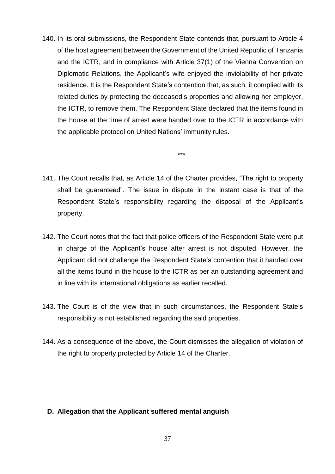140. In its oral submissions, the Respondent State contends that, pursuant to Article 4 of the host agreement between the Government of the United Republic of Tanzania and the ICTR, and in compliance with Article 37(1) of the Vienna Convention on Diplomatic Relations, the Applicant's wife enjoyed the inviolability of her private residence. It is the Respondent State's contention that, as such, it complied with its related duties by protecting the deceased's properties and allowing her employer, the ICTR, to remove them. The Respondent State declared that the items found in the house at the time of arrest were handed over to the ICTR in accordance with the applicable protocol on United Nations' immunity rules.

141. The Court recalls that, as Article 14 of the Charter provides, "The right to property shall be guaranteed". The issue in dispute in the instant case is that of the Respondent State's responsibility regarding the disposal of the Applicant's property.

\*\*\*

- 142. The Court notes that the fact that police officers of the Respondent State were put in charge of the Applicant's house after arrest is not disputed. However, the Applicant did not challenge the Respondent State's contention that it handed over all the items found in the house to the ICTR as per an outstanding agreement and in line with its international obligations as earlier recalled.
- 143. The Court is of the view that in such circumstances, the Respondent State's responsibility is not established regarding the said properties.
- 144. As a consequence of the above, the Court dismisses the allegation of violation of the right to property protected by Article 14 of the Charter.

### <span id="page-37-0"></span>**D. Allegation that the Applicant suffered mental anguish**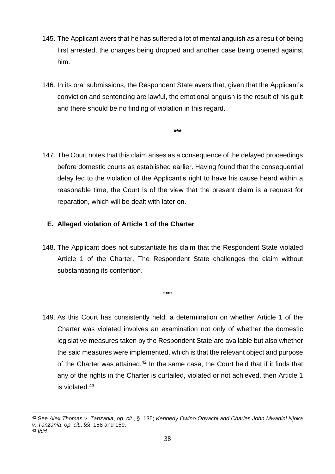- 145. The Applicant avers that he has suffered a lot of mental anguish as a result of being first arrested, the charges being dropped and another case being opened against him.
- 146. In its oral submissions, the Respondent State avers that, given that the Applicant's conviction and sentencing are lawful, the emotional anguish is the result of his guilt and there should be no finding of violation in this regard.

**\*\*\***

147. The Court notes that this claim arises as a consequence of the delayed proceedings before domestic courts as established earlier. Having found that the consequential delay led to the violation of the Applicant's right to have his cause heard within a reasonable time, the Court is of the view that the present claim is a request for reparation, which will be dealt with later on.

## <span id="page-38-0"></span>**E. Alleged violation of Article 1 of the Charter**

148. The Applicant does not substantiate his claim that the Respondent State violated Article 1 of the Charter. The Respondent State challenges the claim without substantiating its contention.

\*\*\*

149. As this Court has consistently held, a determination on whether Article 1 of the Charter was violated involves an examination not only of whether the domestic legislative measures taken by the Respondent State are available but also whether the said measures were implemented, which is that the relevant object and purpose of the Charter was attained.<sup>42</sup> In the same case, the Court held that if it finds that any of the rights in the Charter is curtailed, violated or not achieved, then Article 1 is violated.<sup>43</sup>

 $\overline{a}$ <sup>42</sup> See *Alex Thomas v. Tanzania*, *op. cit.*, §. 135; *Kennedy Owino Onyachi and Charles John Mwanini Njoka v. Tanzania*, *op. cit.*, §§. 158 and 159.

<sup>43</sup> *Ibid*.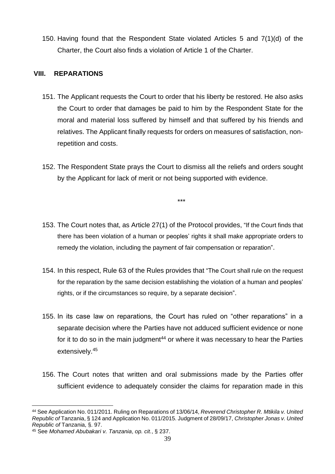150. Having found that the Respondent State violated Articles 5 and 7(1)(d) of the Charter, the Court also finds a violation of Article 1 of the Charter.

### <span id="page-39-0"></span>**VIII. REPARATIONS**

- 151. The Applicant requests the Court to order that his liberty be restored. He also asks the Court to order that damages be paid to him by the Respondent State for the moral and material loss suffered by himself and that suffered by his friends and relatives. The Applicant finally requests for orders on measures of satisfaction, nonrepetition and costs.
- 152. The Respondent State prays the Court to dismiss all the reliefs and orders sought by the Applicant for lack of merit or not being supported with evidence.

\*\*\*

- 153. The Court notes that, as Article 27(1) of the Protocol provides, "If the Court finds that there has been violation of a human or peoples' rights it shall make appropriate orders to remedy the violation, including the payment of fair compensation or reparation".
- 154. In this respect, Rule 63 of the Rules provides that "The Court shall rule on the request for the reparation by the same decision establishing the violation of a human and peoples' rights, or if the circumstances so require, by a separate decision".
- 155. In its case law on reparations, the Court has ruled on "other reparations" in a separate decision where the Parties have not adduced sufficient evidence or none for it to do so in the main judgment $44$  or where it was necessary to hear the Parties extensively.<sup>45</sup>
- 156. The Court notes that written and oral submissions made by the Parties offer sufficient evidence to adequately consider the claims for reparation made in this

 <sup>44</sup> See Application No. 011/2011. Ruling on Reparations of 13/06/14, *Reverend Christopher R. Mtikila v. United Republic of* Tanzania, § 124 and Application No. 011/2015. Judgment of 28/09/17, *Christopher Jonas v. United Republic of* Tanzania, §. 97.

<sup>45</sup> See *Mohamed Abubakari v. Tanzania*, *op. cit.*, § 237.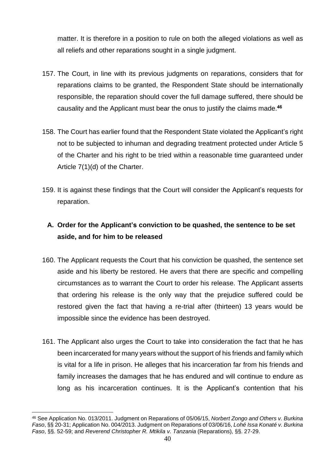matter. It is therefore in a position to rule on both the alleged violations as well as all reliefs and other reparations sought in a single judgment.

- 157. The Court, in line with its previous judgments on reparations, considers that for reparations claims to be granted, the Respondent State should be internationally responsible, the reparation should cover the full damage suffered, there should be causality and the Applicant must bear the onus to justify the claims made.**<sup>46</sup>**
- 158. The Court has earlier found that the Respondent State violated the Applicant's right not to be subjected to inhuman and degrading treatment protected under Article 5 of the Charter and his right to be tried within a reasonable time guaranteed under Article 7(1)(d) of the Charter.
- 159. It is against these findings that the Court will consider the Applicant's requests for reparation.

# <span id="page-40-0"></span>**A. Order for the Applicant's conviction to be quashed, the sentence to be set aside, and for him to be released**

- 160. The Applicant requests the Court that his conviction be quashed, the sentence set aside and his liberty be restored. He avers that there are specific and compelling circumstances as to warrant the Court to order his release. The Applicant asserts that ordering his release is the only way that the prejudice suffered could be restored given the fact that having a re-trial after (thirteen) 13 years would be impossible since the evidence has been destroyed.
- 161. The Applicant also urges the Court to take into consideration the fact that he has been incarcerated for many years without the support of his friends and family which is vital for a life in prison. He alleges that his incarceration far from his friends and family increases the damages that he has endured and will continue to endure as long as his incarceration continues. It is the Applicant's contention that his

 $\overline{a}$ <sup>46</sup> See Application No. 013/2011. Judgment on Reparations of 05/06/15, *Norbert Zongo and Others v. Burkina Faso*, §§ 20-31; Application No. 004/2013. Judgment on Reparations of 03/06/16, *Lohé Issa Konaté v. Burkina Faso*, §§. 52-59; and *Reverend Christopher R. Mtikila v. Tanzania* (Reparations), §§. 27-29.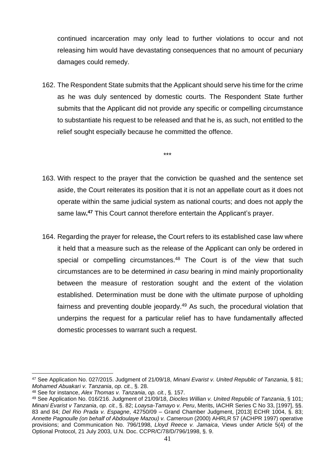continued incarceration may only lead to further violations to occur and not releasing him would have devastating consequences that no amount of pecuniary damages could remedy.

162. The Respondent State submits that the Applicant should serve his time for the crime as he was duly sentenced by domestic courts. The Respondent State further submits that the Applicant did not provide any specific or compelling circumstance to substantiate his request to be released and that he is, as such, not entitled to the relief sought especially because he committed the offence.

\*\*\*

- 163. With respect to the prayer that the conviction be quashed and the sentence set aside, the Court reiterates its position that it is not an appellate court as it does not operate within the same judicial system as national courts; and does not apply the same law**. <sup>47</sup>** This Court cannot therefore entertain the Applicant's prayer.
- 164. Regarding the prayer for release**,** the Court refers to its established case law where it held that a measure such as the release of the Applicant can only be ordered in special or compelling circumstances.<sup>48</sup> The Court is of the view that such circumstances are to be determined *in casu* bearing in mind mainly proportionality between the measure of restoration sought and the extent of the violation established. Determination must be done with the ultimate purpose of upholding fairness and preventing double jeopardy.<sup>49</sup> As such, the procedural violation that underpins the request for a particular relief has to have fundamentally affected domestic processes to warrant such a request.

 $\overline{a}$ <sup>47</sup> See Application No. 027/2015. Judgment of 21/09/18, *Minani Evarist v. United Republic of Tanzania*, § 81; *Mohamed Abuakari v. Tanzania*, *op. cit.*, §. 28.

<sup>48</sup> See for instance, *Alex Thomas v. Tanzania*, *op. cit.*, §. 157.

<sup>49</sup> See Application No. 016/216. Judgment of 21/09/18, *Diocles Willian v. United Republic of Tanzania*, § 101; *Minani Evarist v Tanzania*, *op. cit.*, §. 82; *Loaysa-Tamayo v. Peru*, Merits, IACHR Series C No 33, [1997], §§. 83 and 84; *Del Rio Prada v. Espagne*, 42750/09 – Grand Chamber Judgment, [2013] ECHR 1004, §. 83; *Annette Pagnoulle (on behalf of Abdoulaye Mazou) v. Cameroun* (2000) AHRLR 57 (ACHPR 1997) operative provisions; and Communication No. 796/1998, *Lloyd Reece v. Jamaica*, Views under Article 5(4) of the Optional Protocol, 21 July 2003, U.N. Doc. CCPR/C/78/D/796/1998, §. 9.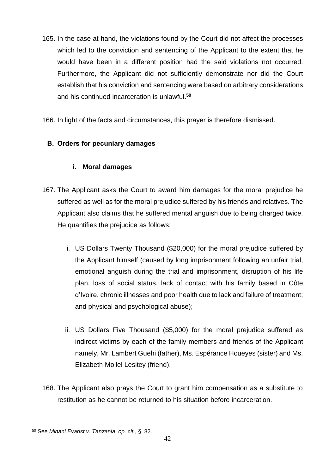165. In the case at hand, the violations found by the Court did not affect the processes which led to the conviction and sentencing of the Applicant to the extent that he would have been in a different position had the said violations not occurred. Furthermore, the Applicant did not sufficiently demonstrate nor did the Court establish that his conviction and sentencing were based on arbitrary considerations and his continued incarceration is unlawful**. 50**

166. In light of the facts and circumstances, this prayer is therefore dismissed.

## <span id="page-42-0"></span>**B. Orders for pecuniary damages**

## **i. Moral damages**

- <span id="page-42-1"></span>167. The Applicant asks the Court to award him damages for the moral prejudice he suffered as well as for the moral prejudice suffered by his friends and relatives. The Applicant also claims that he suffered mental anguish due to being charged twice. He quantifies the prejudice as follows:
	- i. US Dollars Twenty Thousand (\$20,000) for the moral prejudice suffered by the Applicant himself (caused by long imprisonment following an unfair trial, emotional anguish during the trial and imprisonment, disruption of his life plan, loss of social status, lack of contact with his family based in Côte d'Ivoire, chronic illnesses and poor health due to lack and failure of treatment; and physical and psychological abuse);
	- ii. US Dollars Five Thousand (\$5,000) for the moral prejudice suffered as indirect victims by each of the family members and friends of the Applicant namely, Mr. Lambert Guehi (father), Ms. Espérance Houeyes (sister) and Ms. Elizabeth Mollel Lesitey (friend).
- 168. The Applicant also prays the Court to grant him compensation as a substitute to restitution as he cannot be returned to his situation before incarceration.

 $\overline{a}$ <sup>50</sup> See *Minani Evarist v. Tanzania*, *op. cit.*, §. 82.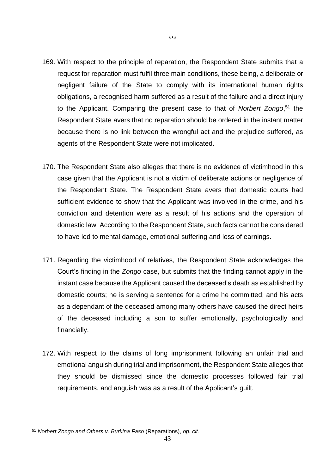- 169. With respect to the principle of reparation, the Respondent State submits that a request for reparation must fulfil three main conditions, these being, a deliberate or negligent failure of the State to comply with its international human rights obligations, a recognised harm suffered as a result of the failure and a direct injury to the Applicant. Comparing the present case to that of *Norbert Zongo*, <sup>51</sup> the Respondent State avers that no reparation should be ordered in the instant matter because there is no link between the wrongful act and the prejudice suffered, as agents of the Respondent State were not implicated.
- 170. The Respondent State also alleges that there is no evidence of victimhood in this case given that the Applicant is not a victim of deliberate actions or negligence of the Respondent State. The Respondent State avers that domestic courts had sufficient evidence to show that the Applicant was involved in the crime, and his conviction and detention were as a result of his actions and the operation of domestic law. According to the Respondent State, such facts cannot be considered to have led to mental damage, emotional suffering and loss of earnings.
- 171. Regarding the victimhood of relatives, the Respondent State acknowledges the Court's finding in the *Zongo* case, but submits that the finding cannot apply in the instant case because the Applicant caused the deceased's death as established by domestic courts; he is serving a sentence for a crime he committed; and his acts as a dependant of the deceased among many others have caused the direct heirs of the deceased including a son to suffer emotionally, psychologically and financially.
- 172. With respect to the claims of long imprisonment following an unfair trial and emotional anguish during trial and imprisonment, the Respondent State alleges that they should be dismissed since the domestic processes followed fair trial requirements, and anguish was as a result of the Applicant's guilt.

 $\overline{a}$ 

\*\*\*

<sup>51</sup> *Norbert Zongo and Others v. Burkina Faso* (Reparations), *op. cit*.

<sup>43</sup>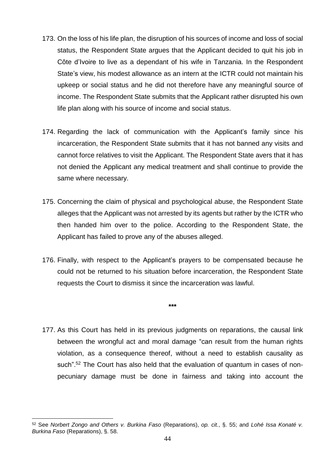- 173. On the loss of his life plan, the disruption of his sources of income and loss of social status, the Respondent State argues that the Applicant decided to quit his job in Côte d'Ivoire to live as a dependant of his wife in Tanzania. In the Respondent State's view, his modest allowance as an intern at the ICTR could not maintain his upkeep or social status and he did not therefore have any meaningful source of income. The Respondent State submits that the Applicant rather disrupted his own life plan along with his source of income and social status.
- 174. Regarding the lack of communication with the Applicant's family since his incarceration, the Respondent State submits that it has not banned any visits and cannot force relatives to visit the Applicant. The Respondent State avers that it has not denied the Applicant any medical treatment and shall continue to provide the same where necessary.
- 175. Concerning the claim of physical and psychological abuse, the Respondent State alleges that the Applicant was not arrested by its agents but rather by the ICTR who then handed him over to the police. According to the Respondent State, the Applicant has failed to prove any of the abuses alleged.
- 176. Finally, with respect to the Applicant's prayers to be compensated because he could not be returned to his situation before incarceration, the Respondent State requests the Court to dismiss it since the incarceration was lawful.

**\*\*\***

177. As this Court has held in its previous judgments on reparations, the causal link between the wrongful act and moral damage "can result from the human rights violation, as a consequence thereof, without a need to establish causality as such".<sup>52</sup> The Court has also held that the evaluation of quantum in cases of nonpecuniary damage must be done in fairness and taking into account the

 $\overline{a}$ <sup>52</sup> See *Norbert Zongo and Others v. Burkina Faso* (Reparations), *op. cit.*, §. 55; and *Lohé Issa Konaté v. Burkina Faso* (Reparations), §. 58.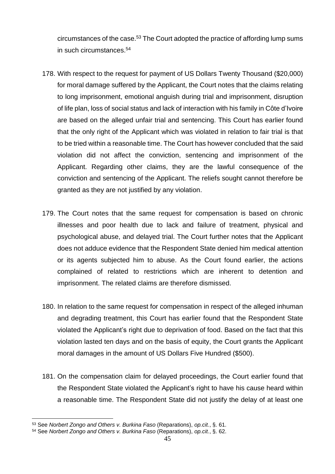circumstances of the case.<sup>53</sup> The Court adopted the practice of affording lump sums in such circumstances.<sup>54</sup>

- 178. With respect to the request for payment of US Dollars Twenty Thousand (\$20,000) for moral damage suffered by the Applicant, the Court notes that the claims relating to long imprisonment, emotional anguish during trial and imprisonment, disruption of life plan, loss of social status and lack of interaction with his family in Côte d'Ivoire are based on the alleged unfair trial and sentencing. This Court has earlier found that the only right of the Applicant which was violated in relation to fair trial is that to be tried within a reasonable time. The Court has however concluded that the said violation did not affect the conviction, sentencing and imprisonment of the Applicant. Regarding other claims, they are the lawful consequence of the conviction and sentencing of the Applicant. The reliefs sought cannot therefore be granted as they are not justified by any violation.
- 179. The Court notes that the same request for compensation is based on chronic illnesses and poor health due to lack and failure of treatment, physical and psychological abuse, and delayed trial. The Court further notes that the Applicant does not adduce evidence that the Respondent State denied him medical attention or its agents subjected him to abuse. As the Court found earlier, the actions complained of related to restrictions which are inherent to detention and imprisonment. The related claims are therefore dismissed.
- 180. In relation to the same request for compensation in respect of the alleged inhuman and degrading treatment, this Court has earlier found that the Respondent State violated the Applicant's right due to deprivation of food. Based on the fact that this violation lasted ten days and on the basis of equity, the Court grants the Applicant moral damages in the amount of US Dollars Five Hundred (\$500).
- 181. On the compensation claim for delayed proceedings, the Court earlier found that the Respondent State violated the Applicant's right to have his cause heard within a reasonable time. The Respondent State did not justify the delay of at least one

 $\overline{a}$ <sup>53</sup> See *Norbert Zongo and Others v. Burkina Faso* (Reparations), *op.cit.*, §. 61.

<sup>54</sup> See *Norbert Zongo and Others v. Burkina Faso* (Reparations), *op.cit.*, §. 62.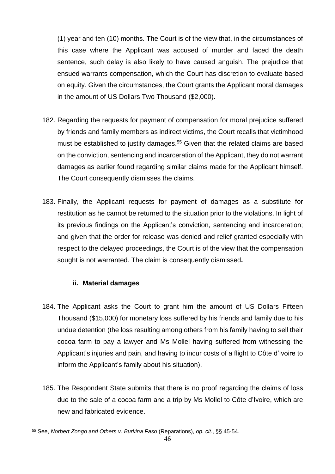(1) year and ten (10) months. The Court is of the view that, in the circumstances of this case where the Applicant was accused of murder and faced the death sentence, such delay is also likely to have caused anguish. The prejudice that ensued warrants compensation, which the Court has discretion to evaluate based on equity. Given the circumstances, the Court grants the Applicant moral damages in the amount of US Dollars Two Thousand (\$2,000).

- 182. Regarding the requests for payment of compensation for moral prejudice suffered by friends and family members as indirect victims, the Court recalls that victimhood must be established to justify damages.<sup>55</sup> Given that the related claims are based on the conviction, sentencing and incarceration of the Applicant, they do not warrant damages as earlier found regarding similar claims made for the Applicant himself. The Court consequently dismisses the claims.
- 183. Finally, the Applicant requests for payment of damages as a substitute for restitution as he cannot be returned to the situation prior to the violations. In light of its previous findings on the Applicant's conviction, sentencing and incarceration; and given that the order for release was denied and relief granted especially with respect to the delayed proceedings, the Court is of the view that the compensation sought is not warranted. The claim is consequently dismissed**.**

## **ii. Material damages**

- <span id="page-46-0"></span>184. The Applicant asks the Court to grant him the amount of US Dollars Fifteen Thousand (\$15,000) for monetary loss suffered by his friends and family due to his undue detention (the loss resulting among others from his family having to sell their cocoa farm to pay a lawyer and Ms Mollel having suffered from witnessing the Applicant's injuries and pain, and having to incur costs of a flight to Côte d'Ivoire to inform the Applicant's family about his situation).
- 185. The Respondent State submits that there is no proof regarding the claims of loss due to the sale of a cocoa farm and a trip by Ms Mollel to Côte d'Ivoire, which are new and fabricated evidence.

 $\overline{a}$ <sup>55</sup> See, *Norbert Zongo and Others v. Burkina Faso* (Reparations), *op. cit.*, §§ 45-54.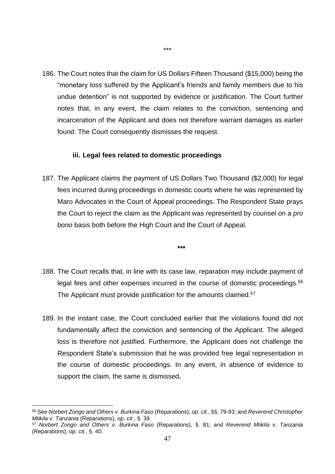186. The Court notes that the claim for US Dollars Fifteen Thousand (\$15,000) being the "monetary loss suffered by the Applicant's friends and family members due to his undue detention" is not supported by evidence or justification. The Court further notes that, in any event, the claim relates to the conviction, sentencing and incarceration of the Applicant and does not therefore warrant damages as earlier found. The Court consequently dismisses the request.

#### **iii. Legal fees related to domestic proceedings**

<span id="page-47-0"></span>187. The Applicant claims the payment of US Dollars Two Thousand (\$2,000) for legal fees incurred during proceedings in domestic courts where he was represented by Maro Advocates in the Court of Appeal proceedings. The Respondent State prays the Court to reject the claim as the Applicant was represented by counsel on a *pro bono* basis both before the High Court and the Court of Appeal.

**\*\*\***

- 188. The Court recalls that, in line with its case law, reparation may include payment of legal fees and other expenses incurred in the course of domestic proceedings.<sup>56</sup> The Applicant must provide justification for the amounts claimed.<sup>57</sup>
- 189. In the instant case, the Court concluded earlier that the violations found did not fundamentally affect the conviction and sentencing of the Applicant. The alleged loss is therefore not justified. Furthermore, the Applicant does not challenge the Respondent State's submission that he was provided free legal representation in the course of domestic proceedings. In any event, in absence of evidence to support the claim, the same is dismissed**.**

<sup>56</sup> See *Norbert Zongo and Others v. Burkina Faso* (Reparations), *op. cit.*, §§. 79-93; and *Reverend Christopher Mtikila v. Tanzania* (Reparations), *op. cit.*, §. 39.

<sup>57</sup> *Norbert Zongo and Others v. Burkina Faso* (Reparations), §. 81; and *Reverend Mtikila v. Tanzania* (Reparations), *op. cit.*, §. 40.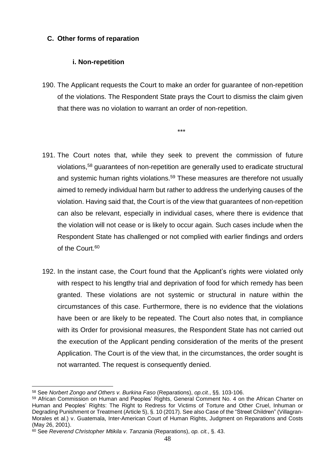## <span id="page-48-0"></span>**C. Other forms of reparation**

## **i. Non-repetition**

<span id="page-48-1"></span>190. The Applicant requests the Court to make an order for guarantee of non-repetition of the violations. The Respondent State prays the Court to dismiss the claim given that there was no violation to warrant an order of non-repetition.

\*\*\*

- 191. The Court notes that, while they seek to prevent the commission of future violations,<sup>58</sup> guarantees of non-repetition are generally used to eradicate structural and systemic human rights violations.<sup>59</sup> These measures are therefore not usually aimed to remedy individual harm but rather to address the underlying causes of the violation. Having said that, the Court is of the view that guarantees of non-repetition can also be relevant, especially in individual cases, where there is evidence that the violation will not cease or is likely to occur again. Such cases include when the Respondent State has challenged or not complied with earlier findings and orders of the Court.<sup>60</sup>
- 192. In the instant case, the Court found that the Applicant's rights were violated only with respect to his lengthy trial and deprivation of food for which remedy has been granted. These violations are not systemic or structural in nature within the circumstances of this case. Furthermore, there is no evidence that the violations have been or are likely to be repeated. The Court also notes that, in compliance with its Order for provisional measures, the Respondent State has not carried out the execution of the Applicant pending consideration of the merits of the present Application. The Court is of the view that, in the circumstances, the order sought is not warranted. The request is consequently denied.

 $\overline{a}$ <sup>58</sup> See *Norbert Zongo and Others v. Burkina Faso* (Reparations), *op.cit.*, §§. 103-106.

<sup>59</sup> African Commission on Human and Peoples' Rights, General Comment No. 4 on the African Charter on Human and Peoples' Rights: The Right to Redress for Victims of Torture and Other Cruel, Inhuman or Degrading Punishment or Treatment (Article 5), §. 10 (2017). See also Case of the "Street Children" (Villagran-Morales et al.) v. Guatemala, Inter-American Court of Human Rights, Judgment on Reparations and Costs (May 26, 2001).

<sup>60</sup> See *Reverend Christopher Mtikila v. Tanzania* (Reparations), *op. cit.*, §. 43.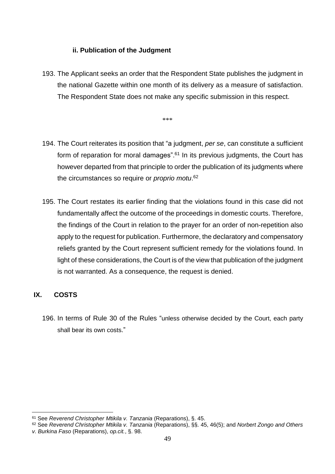### **ii. Publication of the Judgment**

<span id="page-49-0"></span>193. The Applicant seeks an order that the Respondent State publishes the judgment in the national Gazette within one month of its delivery as a measure of satisfaction. The Respondent State does not make any specific submission in this respect.

\*\*\*

- 194. The Court reiterates its position that "a judgment, *per se*, can constitute a sufficient form of reparation for moral damages".<sup>61</sup> In its previous judgments, the Court has however departed from that principle to order the publication of its judgments where the circumstances so require or *proprio motu*. 62
- 195. The Court restates its earlier finding that the violations found in this case did not fundamentally affect the outcome of the proceedings in domestic courts. Therefore, the findings of the Court in relation to the prayer for an order of non-repetition also apply to the request for publication. Furthermore, the declaratory and compensatory reliefs granted by the Court represent sufficient remedy for the violations found. In light of these considerations, the Court is of the view that publication of the judgment is not warranted. As a consequence, the request is denied.

## <span id="page-49-1"></span>**IX. COSTS**

 $\overline{a}$ 

196. In terms of Rule 30 of the Rules "unless otherwise decided by the Court, each party shall bear its own costs."

<sup>61</sup> See *Reverend Christopher Mtikila v. Tanzania* (Reparations), §. 45.

<sup>62</sup> See *Reverend Christopher Mtikila v. Tanzania* (Reparations), §§. 45, 46(5); and *Norbert Zongo and Others v. Burkina Faso* (Reparations), *op.cit.*, §. 98.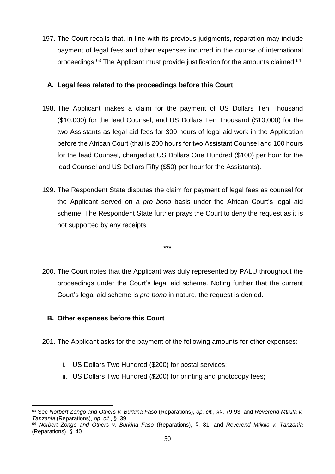197. The Court recalls that, in line with its previous judgments, reparation may include payment of legal fees and other expenses incurred in the course of international proceedings.<sup>63</sup> The Applicant must provide justification for the amounts claimed.<sup>64</sup>

### <span id="page-50-0"></span>**A. Legal fees related to the proceedings before this Court**

- 198. The Applicant makes a claim for the payment of US Dollars Ten Thousand (\$10,000) for the lead Counsel, and US Dollars Ten Thousand (\$10,000) for the two Assistants as legal aid fees for 300 hours of legal aid work in the Application before the African Court (that is 200 hours for two Assistant Counsel and 100 hours for the lead Counsel, charged at US Dollars One Hundred (\$100) per hour for the lead Counsel and US Dollars Fifty (\$50) per hour for the Assistants).
- 199. The Respondent State disputes the claim for payment of legal fees as counsel for the Applicant served on a *pro bono* basis under the African Court's legal aid scheme. The Respondent State further prays the Court to deny the request as it is not supported by any receipts.

**\*\*\***

200. The Court notes that the Applicant was duly represented by PALU throughout the proceedings under the Court's legal aid scheme. Noting further that the current Court's legal aid scheme is *pro bono* in nature, the request is denied.

## <span id="page-50-1"></span>**B. Other expenses before this Court**

- 201. The Applicant asks for the payment of the following amounts for other expenses:
	- i. US Dollars Two Hundred (\$200) for postal services;
	- ii. US Dollars Two Hundred (\$200) for printing and photocopy fees;

 <sup>63</sup> See *Norbert Zongo and Others v. Burkina Faso* (Reparations), *op. cit.*, §§. 79-93; and *Reverend Mtikila v. Tanzania* (Reparations), *op. cit.*, §. 39.

<sup>64</sup> *Norbert Zongo and Others v. Burkina Faso* (Reparations), §. 81; and *Reverend Mtikila v. Tanzania* (Reparations), §. 40.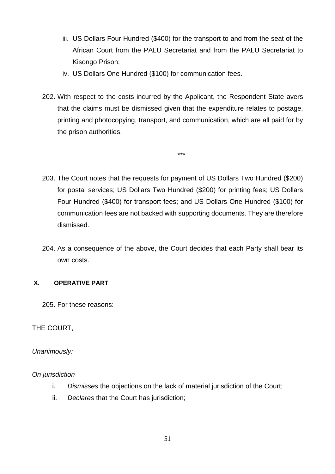- iii. US Dollars Four Hundred (\$400) for the transport to and from the seat of the African Court from the PALU Secretariat and from the PALU Secretariat to Kisongo Prison;
- iv. US Dollars One Hundred (\$100) for communication fees.
- 202. With respect to the costs incurred by the Applicant, the Respondent State avers that the claims must be dismissed given that the expenditure relates to postage, printing and photocopying, transport, and communication, which are all paid for by the prison authorities.

\*\*\*

- 203. The Court notes that the requests for payment of US Dollars Two Hundred (\$200) for postal services; US Dollars Two Hundred (\$200) for printing fees; US Dollars Four Hundred (\$400) for transport fees; and US Dollars One Hundred (\$100) for communication fees are not backed with supporting documents. They are therefore dismissed.
- 204. As a consequence of the above, the Court decides that each Party shall bear its own costs.

## **X. OPERATIVE PART**

205. For these reasons:

## THE COURT,

## *Unanimously:*

## *On jurisdiction*

- i. *Dismisses* the objections on the lack of material jurisdiction of the Court;
- ii. *Declares* that the Court has jurisdiction;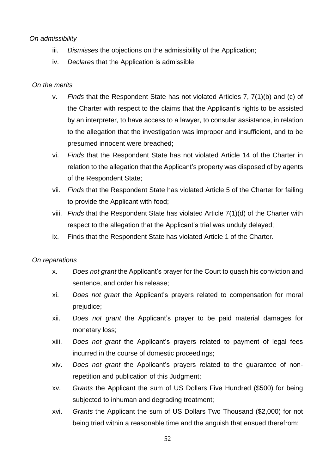## *On admissibility*

- iii. *Dismisses* the objections on the admissibility of the Application;
- iv. *Declares* that the Application is admissible;

## *On the merits*

- v. *Finds* that the Respondent State has not violated Articles 7, 7(1)(b) and (c) of the Charter with respect to the claims that the Applicant's rights to be assisted by an interpreter, to have access to a lawyer, to consular assistance, in relation to the allegation that the investigation was improper and insufficient, and to be presumed innocent were breached;
- vi. *Finds* that the Respondent State has not violated Article 14 of the Charter in relation to the allegation that the Applicant's property was disposed of by agents of the Respondent State;
- vii. *Finds* that the Respondent State has violated Article 5 of the Charter for failing to provide the Applicant with food;
- viii. *Finds* that the Respondent State has violated Article 7(1)(d) of the Charter with respect to the allegation that the Applicant's trial was unduly delayed;
- ix. Finds that the Respondent State has violated Article 1 of the Charter.

## *On reparations*

- x. *Does not grant* the Applicant's prayer for the Court to quash his conviction and sentence, and order his release;
- xi. *Does not grant* the Applicant's prayers related to compensation for moral prejudice;
- xii. *Does not grant* the Applicant's prayer to be paid material damages for monetary loss;
- xiii. *Does not grant* the Applicant's prayers related to payment of legal fees incurred in the course of domestic proceedings;
- xiv. *Does not grant* the Applicant's prayers related to the guarantee of nonrepetition and publication of this Judgment;
- xv. *Grants* the Applicant the sum of US Dollars Five Hundred (\$500) for being subjected to inhuman and degrading treatment;
- xvi. *Grants* the Applicant the sum of US Dollars Two Thousand (\$2,000) for not being tried within a reasonable time and the anguish that ensued therefrom;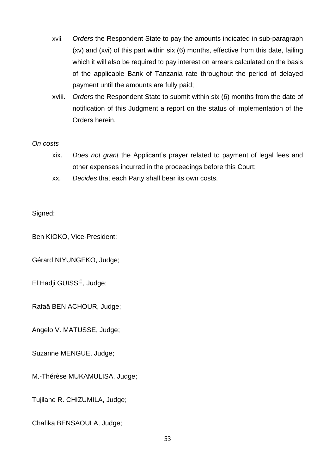- xvii. *Orders* the Respondent State to pay the amounts indicated in sub-paragraph (xv) and (xvi) of this part within six (6) months, effective from this date, failing which it will also be required to pay interest on arrears calculated on the basis of the applicable Bank of Tanzania rate throughout the period of delayed payment until the amounts are fully paid;
- xviii. *Orders* the Respondent State to submit within six (6) months from the date of notification of this Judgment a report on the status of implementation of the Orders herein.

#### *On costs*

- xix. *Does not grant* the Applicant's prayer related to payment of legal fees and other expenses incurred in the proceedings before this Court;
- xx. *Decides* that each Party shall bear its own costs.

#### Signed:

Ben KIOKO, Vice-President;

Gérard NIYUNGEKO, Judge;

El Hadji GUISSÉ, Judge;

Rafaâ BEN ACHOUR, Judge;

Angelo V. MATUSSE, Judge;

Suzanne MENGUE, Judge;

M.-Thérèse MUKAMULISA, Judge;

Tujilane R. CHIZUMILA, Judge;

Chafika BENSAOULA, Judge;